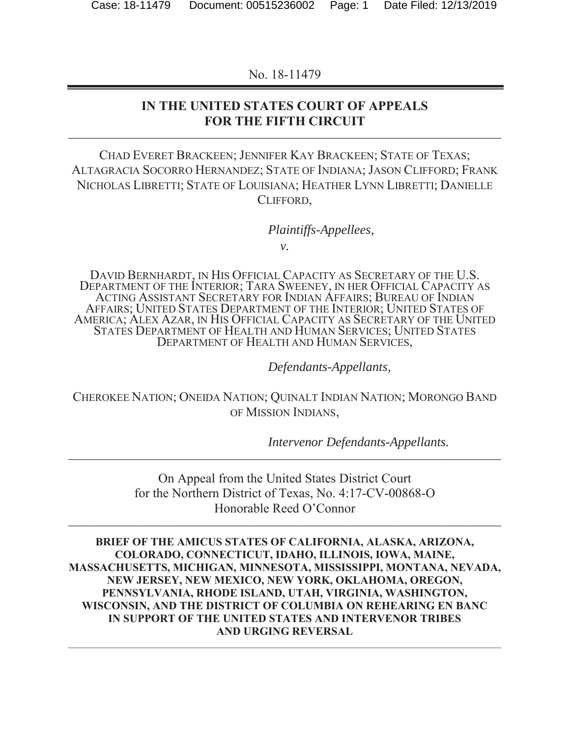No. 18-11479

### **IN THE UNITED STATES COURT OF APPEALS**  FOR THE FIFTH CIRCUIT

CHAD EVERET BRACKEEN; JENNIFER KAY BRACKEEN; STATE OF TEXAS; ALTAGRACIA SOCORRO HERNANDEZ; STATE OF INDIANA; JASON CLIFFORD; FRANK NICHOLAS LIBRETTI; STATE OF LOUISIANA; HEATHER LYNN LIBRETTI; DANIELLE CLIFFORD,

*Plaintiffs-Appellees,*

*v.* 

DAVID BERNHARDT, IN HIS OFFICIAL CAPACITY AS SECRETARY OF THE U.S. DEPARTMENT OF THE INTERIOR; TARA SWEENEY, IN HER OFFICIAL CAPACITY AS ACTING ASSISTANT SECRETARY FOR INDIAN AFFAIRS; BUREAU OF INDIAN AFFAIRS; UNITED STATES DEPARTMENT OF THE INTERIOR; UNITED STATES OF AMERICA; ALEX AZAR, IN HIS OFFICIAL CAPACITY AS SECRETARY OF THE UNITED STATES DEPARTMENT OF HEALTH AND HUMAN SERVICES; UNITED STATES DEPARTMENT OF HEALTH AND HUMAN SERVICES,

*Defendants-Appellants,* 

CHEROKEE NATION; ONEIDA NATION; QUINALT INDIAN NATION; MORONGO BAND OF MISSION INDIANS,

*Intervenor Defendants-Appellants.* 

On Appeal from the United States District Court for the Northern District of Texas, No. 4:17-CV-00868-O Honorable Reed O'Connor

**\_\_\_\_\_\_\_\_\_\_\_\_\_\_\_\_\_\_\_\_\_\_\_\_\_\_\_\_\_\_\_\_\_\_\_\_\_\_\_\_\_\_\_\_\_\_\_\_\_\_\_\_\_\_\_\_\_\_\_\_\_\_\_\_\_\_\_\_\_\_\_\_\_\_\_\_\_\_\_\_\_\_\_\_\_\_\_\_\_\_\_\_\_** 

**\_\_\_\_\_\_\_\_\_\_\_\_\_\_\_\_\_\_\_\_\_\_\_\_\_\_\_\_\_\_\_\_\_\_\_\_\_\_\_\_\_\_\_\_\_\_\_\_\_\_\_\_\_\_\_\_\_\_\_\_\_\_\_\_\_\_\_\_\_\_\_\_\_\_\_\_\_\_\_\_\_\_\_\_\_\_\_\_\_\_\_\_\_**

**BRIEF OF THE AMICUS STATES OF CALIFORNIA, ALASKA, ARIZONA, COLORADO, CONNECTICUT, IDAHO, ILLINOIS, IOWA, MAINE, MASSACHUSETTS, MICHIGAN, MINNESOTA, MISSISSIPPI, MONTANA, NEVADA, NEW JERSEY, NEW MEXICO, NEW YORK, OKLAHOMA, OREGON, PENNSYLVANIA, RHODE ISLAND, UTAH, VIRGINIA, WASHINGTON, WISCONSIN, AND THE DISTRICT OF COLUMBIA ON REHEARING EN BANC IN SUPPORT OF THE UNITED STATES AND INTERVENOR TRIBES AND URGING REVERSAL**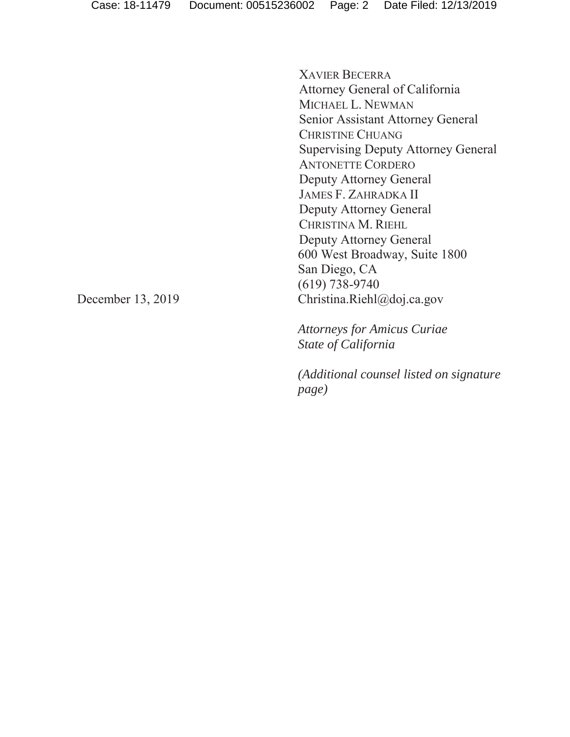XAVIER BECERRA Attorney General of California MICHAEL L. NEWMAN Senior Assistant Attorney General CHRISTINE CHUANG Supervising Deputy Attorney General ANTONETTE CORDERO Deputy Attorney General JAMES F. ZAHRADKA II Deputy Attorney General CHRISTINA M. RIEHL Deputy Attorney General 600 West Broadway, Suite 1800 San Diego, CA (619) 738-9740 Christina.Riehl@doj.ca.gov

*Attorneys for Amicus Curiae State of California*

*(Additional counsel listed on signature page)*

December 13, 2019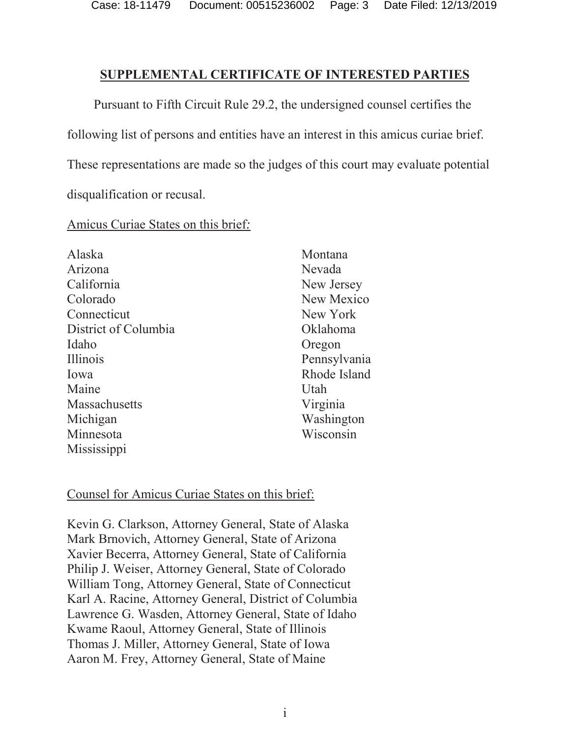#### **SUPPLEMENTAL CERTIFICATE OF INTERESTED PARTIES**

Pursuant to Fifth Circuit Rule 29.2, the undersigned counsel certifies the following list of persons and entities have an interest in this amicus curiae brief. These representations are made so the judges of this court may evaluate potential disqualification or recusal.

#### Amicus Curiae States on this brief*:*

| Alaska               | Montana      |
|----------------------|--------------|
| Arizona              | Nevada       |
| California           | New Jersey   |
| Colorado             | New Mexico   |
| Connecticut          | New York     |
| District of Columbia | Oklahoma     |
| Idaho                | Oregon       |
| <b>Illinois</b>      | Pennsylvania |
| Iowa                 | Rhode Island |
| Maine                | Utah         |
| Massachusetts        | Virginia     |
| Michigan             | Washington   |
| Minnesota            | Wisconsin    |
| Mississippi          |              |

#### Counsel for Amicus Curiae States on this brief:

Kevin G. Clarkson, Attorney General, State of Alaska Mark Brnovich, Attorney General, State of Arizona Xavier Becerra, Attorney General, State of California Philip J. Weiser, Attorney General, State of Colorado William Tong, Attorney General, State of Connecticut Karl A. Racine, Attorney General, District of Columbia Lawrence G. Wasden, Attorney General, State of Idaho Kwame Raoul, Attorney General, State of Illinois Thomas J. Miller, Attorney General, State of Iowa Aaron M. Frey, Attorney General, State of Maine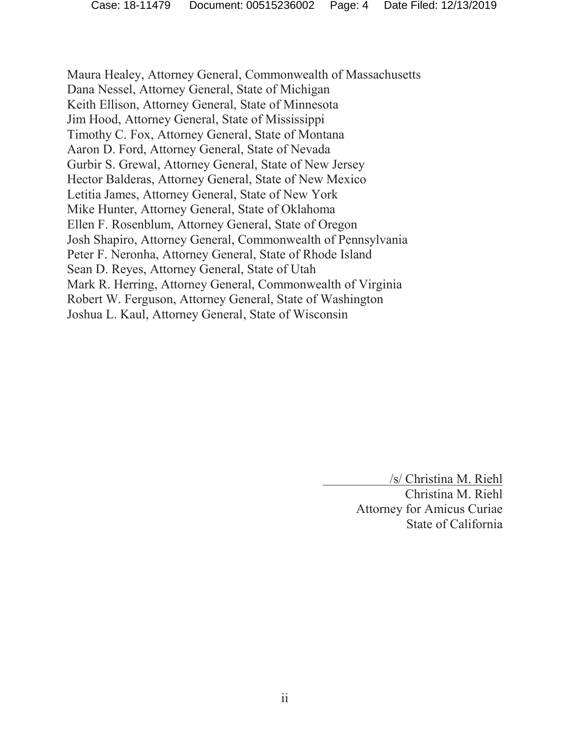Maura Healey, Attorney General, Commonwealth of Massachusetts Dana Nessel, Attorney General, State of Michigan Keith Ellison, Attorney General, State of Minnesota Jim Hood, Attorney General, State of Mississippi Timothy C. Fox, Attorney General, State of Montana Aaron D. Ford, Attorney General, State of Nevada Gurbir S. Grewal, Attorney General, State of New Jersey Hector Balderas, Attorney General, State of New Mexico Letitia James, Attorney General, State of New York Mike Hunter, Attorney General, State of Oklahoma Ellen F. Rosenblum, Attorney General, State of Oregon Josh Shapiro, Attorney General, Commonwealth of Pennsylvania Peter F. Neronha, Attorney General, State of Rhode Island Sean D. Reyes, Attorney General, State of Utah Mark R. Herring, Attorney General, Commonwealth of Virginia Robert W. Ferguson, Attorney General, State of Washington Joshua L. Kaul, Attorney General, State of Wisconsin

/s/ Christina M. Riehl

Christina M. Riehl Attorney for Amicus Curiae State of California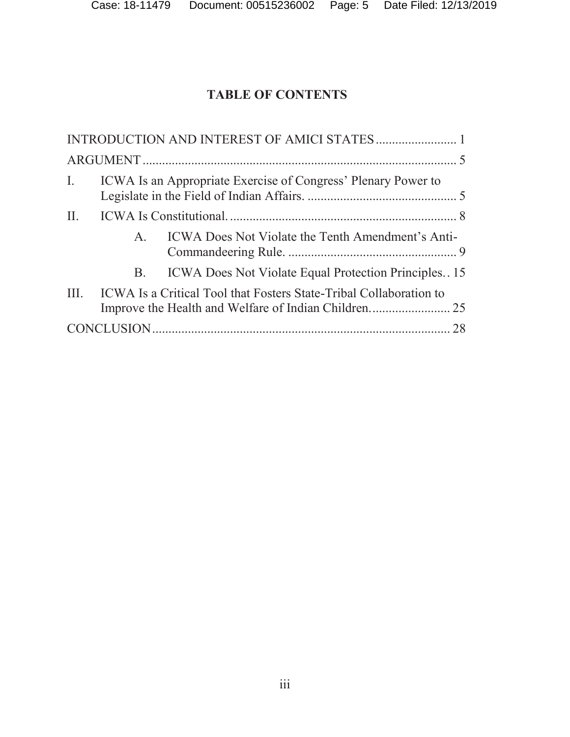# **TABLE OF CONTENTS**

| ICWA Is an Appropriate Exercise of Congress' Plenary Power to<br>$\mathbf{I}$ . |
|---------------------------------------------------------------------------------|
|                                                                                 |
| ICWA Does Not Violate the Tenth Amendment's Anti-<br>$A_{1}$                    |
| B. ICWA Does Not Violate Equal Protection Principles15                          |
| III. ICWA Is a Critical Tool that Fosters State-Tribal Collaboration to         |
|                                                                                 |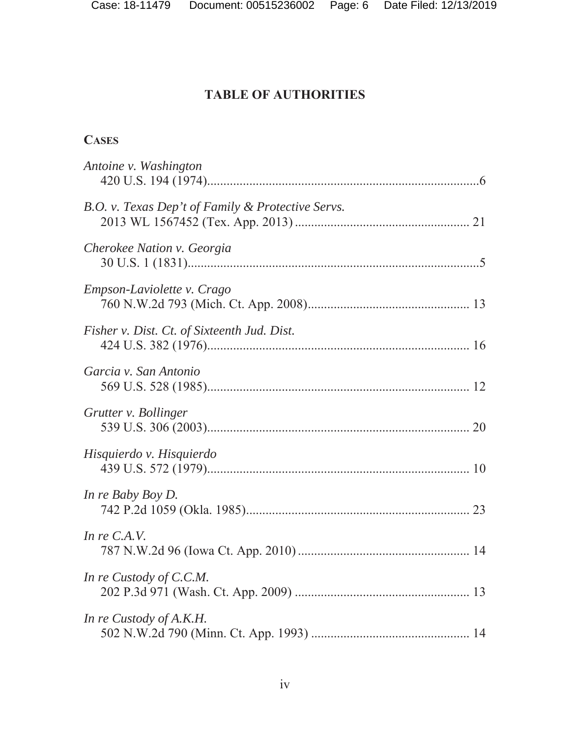### **CASES**

| Antoine v. Washington                             |
|---------------------------------------------------|
| B.O. v. Texas Dep't of Family & Protective Servs. |
| Cherokee Nation v. Georgia                        |
| Empson-Laviolette v. Crago                        |
| Fisher v. Dist. Ct. of Sixteenth Jud. Dist.       |
| Garcia v. San Antonio                             |
| Grutter v. Bollinger                              |
| Hisquierdo v. Hisquierdo                          |
| In re Baby Boy D.                                 |
| In re C.A.V.                                      |
| In re Custody of C.C.M.                           |
| In re Custody of A.K.H.                           |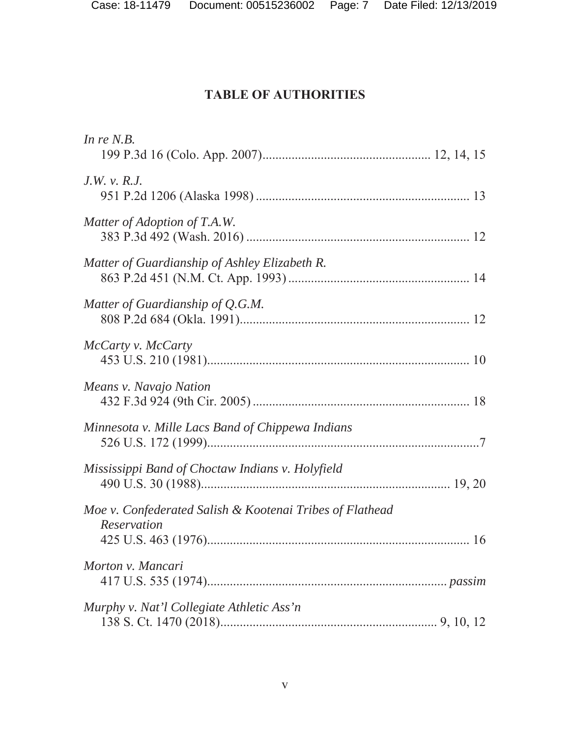| In re $N.B.$                                                            |
|-------------------------------------------------------------------------|
| $J.W.$ v. $R.J.$                                                        |
| Matter of Adoption of T.A.W.                                            |
| Matter of Guardianship of Ashley Elizabeth R.                           |
| Matter of Guardianship of Q.G.M.                                        |
| McCarty v. McCarty                                                      |
| Means v. Navajo Nation                                                  |
| Minnesota v. Mille Lacs Band of Chippewa Indians                        |
| Mississippi Band of Choctaw Indians v. Holyfield                        |
| Moe v. Confederated Salish & Kootenai Tribes of Flathead<br>Reservation |
| Morton v. Mancari                                                       |
| Murphy v. Nat'l Collegiate Athletic Ass'n                               |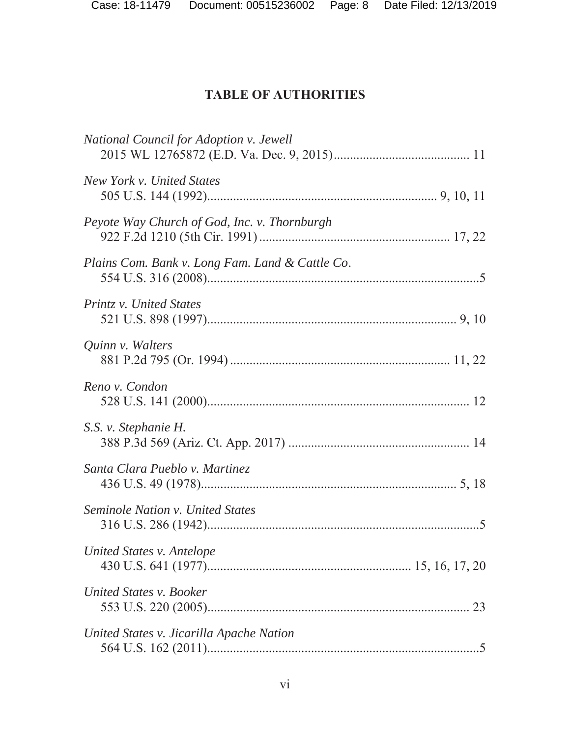| National Council for Adoption v. Jewell         |
|-------------------------------------------------|
| New York v. United States                       |
| Peyote Way Church of God, Inc. v. Thornburgh    |
| Plains Com. Bank v. Long Fam. Land & Cattle Co. |
| Printz v. United States                         |
| Quinn v. Walters                                |
| Reno v. Condon                                  |
| S.S. v. Stephanie H.                            |
| Santa Clara Pueblo v. Martinez                  |
| <b>Seminole Nation v. United States</b>         |
| United States v. Antelope                       |
| United States v. Booker                         |
| United States v. Jicarilla Apache Nation        |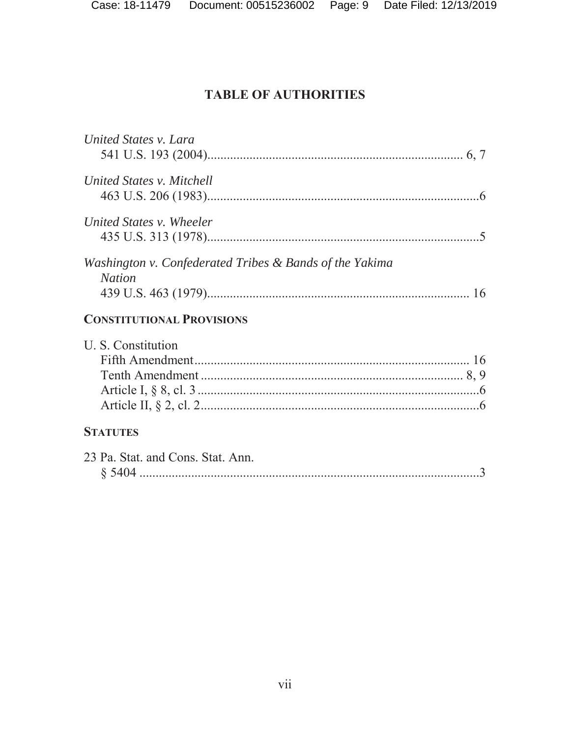| United States v. Lara                                                    |
|--------------------------------------------------------------------------|
| United States v. Mitchell                                                |
| United States v. Wheeler                                                 |
| Washington v. Confederated Tribes & Bands of the Yakima<br><b>Nation</b> |
| <b>CONSTITUTIONAL PROVISIONS</b>                                         |
| U. S. Constitution                                                       |
|                                                                          |
| <b>STATUTES</b>                                                          |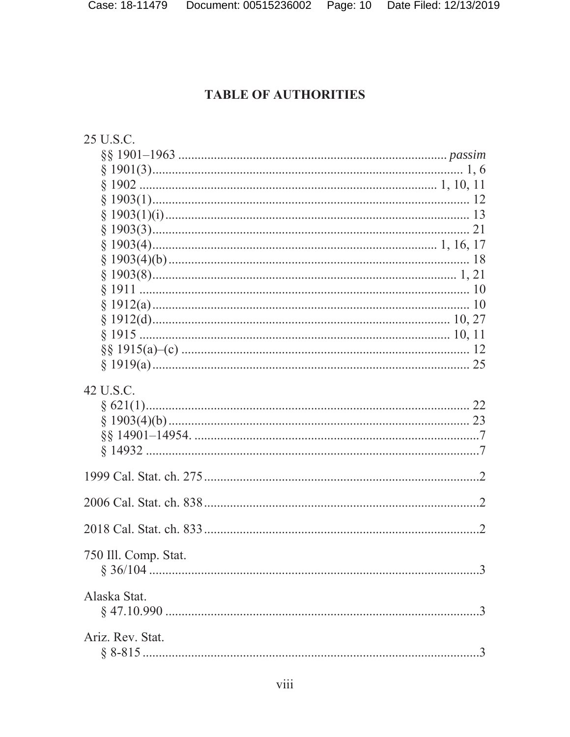| 25 U.S.C.            |
|----------------------|
|                      |
|                      |
|                      |
|                      |
|                      |
|                      |
|                      |
|                      |
|                      |
|                      |
|                      |
|                      |
|                      |
|                      |
|                      |
| 42 U.S.C.            |
|                      |
|                      |
|                      |
| 750 Ill. Comp. Stat. |
| Alaska Stat.         |
| Ariz. Rev. Stat.     |
|                      |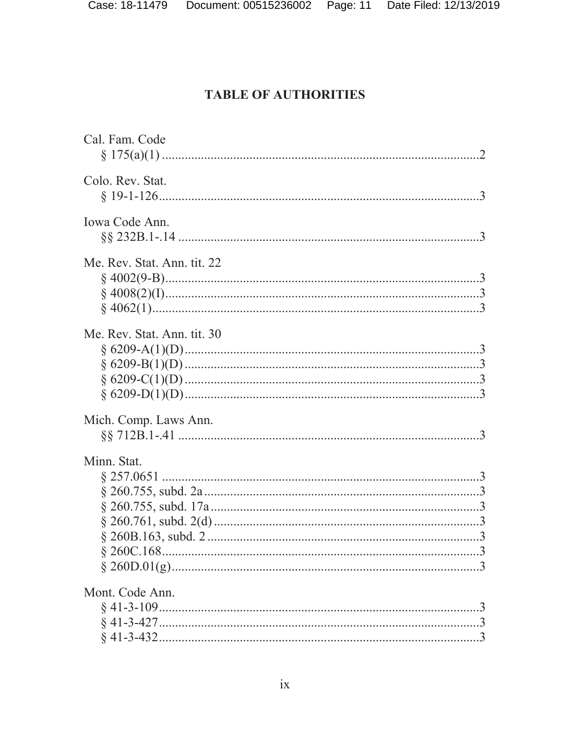| Cal. Fam. Code              |
|-----------------------------|
| Colo. Rev. Stat.            |
| Iowa Code Ann.              |
| Me. Rev. Stat. Ann. tit. 22 |
| Me. Rev. Stat. Ann. tit. 30 |
| Mich. Comp. Laws Ann.       |
| Minn. Stat.                 |
| Mont. Code Ann.             |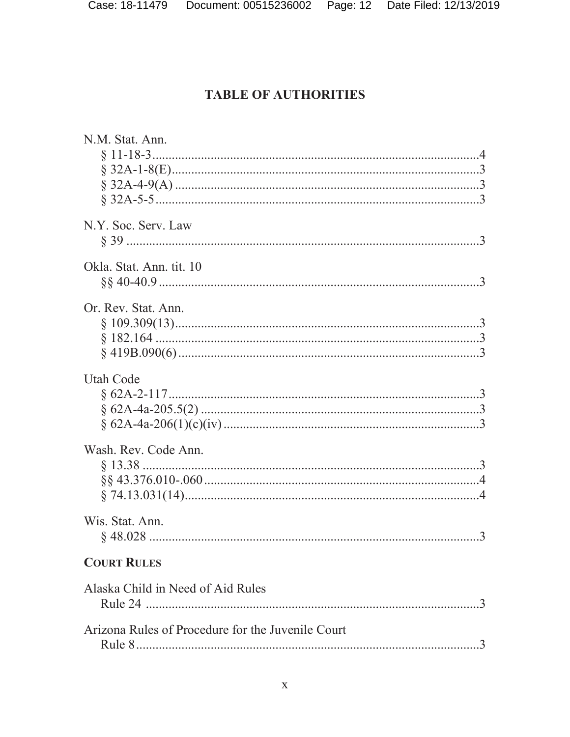| N.M. Stat. Ann.                                   |  |
|---------------------------------------------------|--|
|                                                   |  |
|                                                   |  |
|                                                   |  |
|                                                   |  |
|                                                   |  |
| N.Y. Soc. Serv. Law                               |  |
|                                                   |  |
|                                                   |  |
| Okla. Stat. Ann. tit. 10                          |  |
|                                                   |  |
|                                                   |  |
| Or. Rev. Stat. Ann.                               |  |
|                                                   |  |
|                                                   |  |
|                                                   |  |
| <b>Utah Code</b>                                  |  |
|                                                   |  |
|                                                   |  |
|                                                   |  |
|                                                   |  |
| Wash. Rev. Code Ann.                              |  |
|                                                   |  |
|                                                   |  |
|                                                   |  |
|                                                   |  |
| Wis. Stat. Ann.                                   |  |
|                                                   |  |
|                                                   |  |
| <b>COURT RULES</b>                                |  |
|                                                   |  |
| Alaska Child in Need of Aid Rules                 |  |
|                                                   |  |
| Arizona Rules of Procedure for the Juvenile Court |  |
|                                                   |  |
|                                                   |  |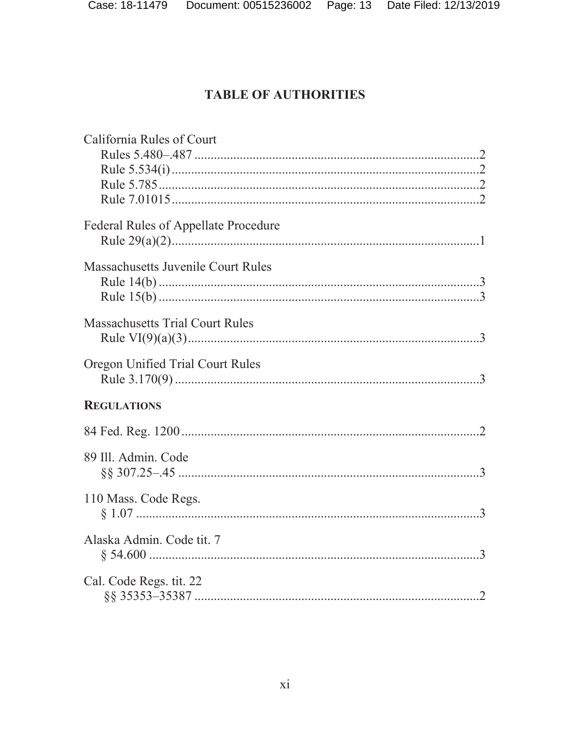| California Rules of Court                 |  |
|-------------------------------------------|--|
| Federal Rules of Appellate Procedure      |  |
| <b>Massachusetts Juvenile Court Rules</b> |  |
| <b>Massachusetts Trial Court Rules</b>    |  |
| Oregon Unified Trial Court Rules          |  |
| <b>REGULATIONS</b>                        |  |
|                                           |  |
| 89 Ill. Admin. Code                       |  |
| 110 Mass. Code Regs.                      |  |
| Alaska Admin. Code tit. 7                 |  |
| Cal. Code Regs. tit. 22                   |  |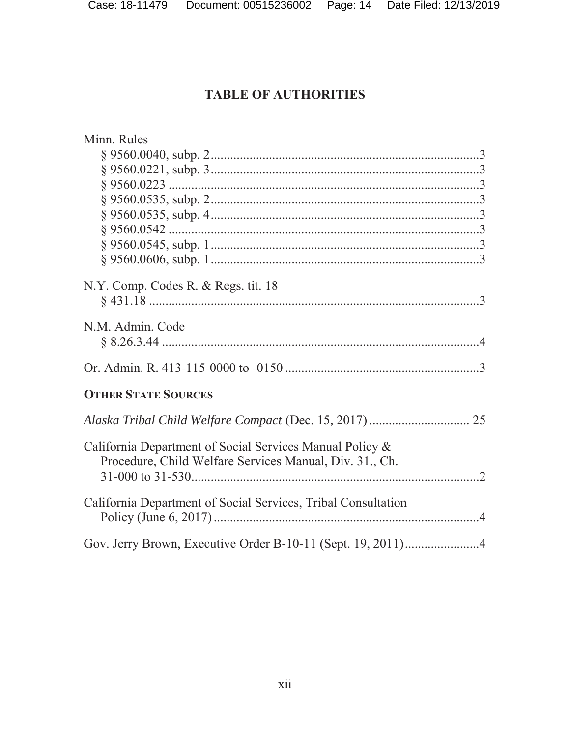| Minn. Rules                                                   |
|---------------------------------------------------------------|
|                                                               |
| § 9560.0221, subp. 3                                          |
|                                                               |
|                                                               |
|                                                               |
|                                                               |
|                                                               |
|                                                               |
|                                                               |
| N.Y. Comp. Codes R. & Regs. tit. 18                           |
|                                                               |
| N.M. Admin. Code                                              |
|                                                               |
|                                                               |
|                                                               |
| <b>OTHER STATE SOURCES</b>                                    |
|                                                               |
|                                                               |
| California Department of Social Services Manual Policy &      |
| Procedure, Child Welfare Services Manual, Div. 31., Ch.       |
|                                                               |
|                                                               |
| California Department of Social Services, Tribal Consultation |
|                                                               |
|                                                               |
|                                                               |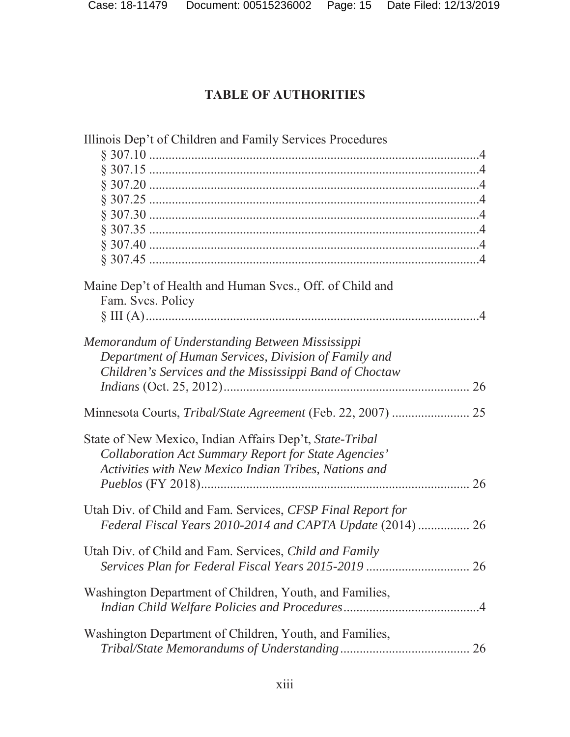| Illinois Dep't of Children and Family Services Procedures    |  |
|--------------------------------------------------------------|--|
|                                                              |  |
|                                                              |  |
|                                                              |  |
|                                                              |  |
|                                                              |  |
|                                                              |  |
|                                                              |  |
|                                                              |  |
| Maine Dep't of Health and Human Svcs., Off. of Child and     |  |
| Fam. Svcs. Policy                                            |  |
|                                                              |  |
| Memorandum of Understanding Between Mississippi              |  |
| Department of Human Services, Division of Family and         |  |
| Children's Services and the Mississippi Band of Choctaw      |  |
| 26                                                           |  |
| Minnesota Courts, Tribal/State Agreement (Feb. 22, 2007)  25 |  |
| State of New Mexico, Indian Affairs Dep't, State-Tribal      |  |
| Collaboration Act Summary Report for State Agencies'         |  |
| Activities with New Mexico Indian Tribes, Nations and        |  |
|                                                              |  |
| Utah Div. of Child and Fam. Services, CFSP Final Report for  |  |
| Federal Fiscal Years 2010-2014 and CAPTA Update (2014)  26   |  |
| Utah Div. of Child and Fam. Services, Child and Family       |  |
|                                                              |  |
| Washington Department of Children, Youth, and Families,      |  |
|                                                              |  |
| Washington Department of Children, Youth, and Families,      |  |
|                                                              |  |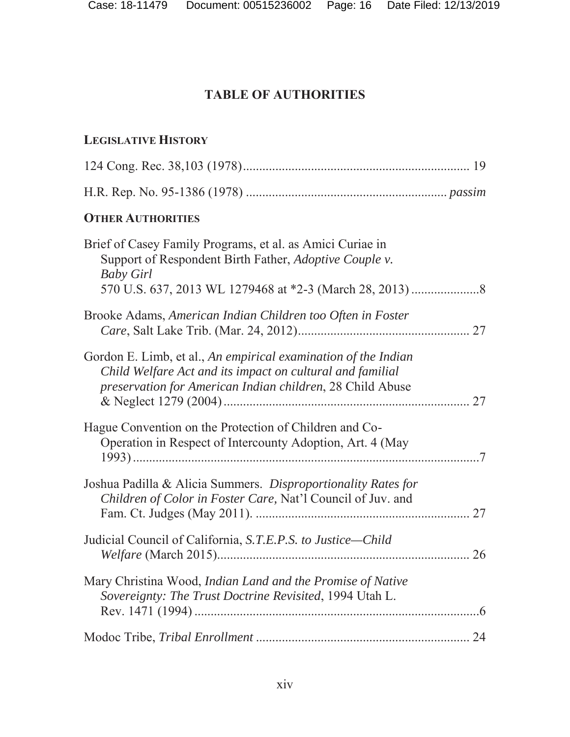### **LEGISLATIVE HISTORY**

| <b>OTHER AUTHORITIES</b>                                                                                                                                                                 |  |
|------------------------------------------------------------------------------------------------------------------------------------------------------------------------------------------|--|
| Brief of Casey Family Programs, et al. as Amici Curiae in<br>Support of Respondent Birth Father, Adoptive Couple v.<br><b>Baby Girl</b>                                                  |  |
| Brooke Adams, American Indian Children too Often in Foster                                                                                                                               |  |
| Gordon E. Limb, et al., An empirical examination of the Indian<br>Child Welfare Act and its impact on cultural and familial<br>preservation for American Indian children, 28 Child Abuse |  |
| Hague Convention on the Protection of Children and Co-<br>Operation in Respect of Intercounty Adoption, Art. 4 (May                                                                      |  |
| Joshua Padilla & Alicia Summers. Disproportionality Rates for<br>Children of Color in Foster Care, Nat'l Council of Juv. and                                                             |  |
| Judicial Council of California, S.T.E.P.S. to Justice-Child                                                                                                                              |  |
| Mary Christina Wood, Indian Land and the Promise of Native<br>Sovereignty: The Trust Doctrine Revisited, 1994 Utah L.                                                                    |  |
|                                                                                                                                                                                          |  |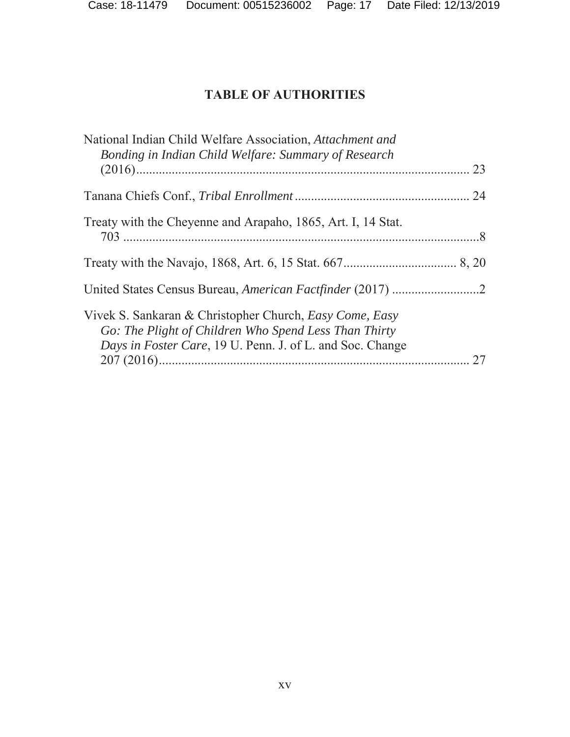| National Indian Child Welfare Association, Attachment and<br>Bonding in Indian Child Welfare: Summary of Research                                                             |    |
|-------------------------------------------------------------------------------------------------------------------------------------------------------------------------------|----|
|                                                                                                                                                                               | 23 |
|                                                                                                                                                                               |    |
| Treaty with the Cheyenne and Arapaho, 1865, Art. I, 14 Stat.                                                                                                                  |    |
|                                                                                                                                                                               |    |
|                                                                                                                                                                               |    |
| Vivek S. Sankaran & Christopher Church, Easy Come, Easy<br>Go: The Plight of Children Who Spend Less Than Thirty<br>Days in Foster Care, 19 U. Penn. J. of L. and Soc. Change |    |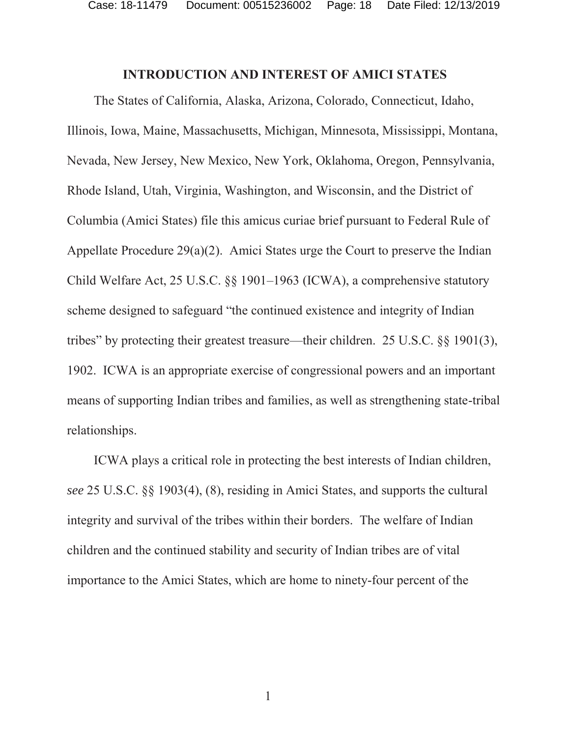Case: 18-11479 Document: 00515236002 Page: 18 Date Filed: 12/13/2019

#### **INTRODUCTION AND INTEREST OF AMICI STATES**

The States of California, Alaska, Arizona, Colorado, Connecticut, Idaho, Illinois, Iowa, Maine, Massachusetts, Michigan, Minnesota, Mississippi, Montana, Nevada, New Jersey, New Mexico, New York, Oklahoma, Oregon, Pennsylvania, Rhode Island, Utah, Virginia, Washington, and Wisconsin, and the District of Columbia (Amici States) file this amicus curiae brief pursuant to Federal Rule of Appellate Procedure 29(a)(2). Amici States urge the Court to preserve the Indian Child Welfare Act, 25 U.S.C. §§ 1901–1963 (ICWA), a comprehensive statutory scheme designed to safeguard "the continued existence and integrity of Indian tribes" by protecting their greatest treasure—their children. 25 U.S.C. §§ 1901(3), 1902. ICWA is an appropriate exercise of congressional powers and an important means of supporting Indian tribes and families, as well as strengthening state-tribal relationships.

ICWA plays a critical role in protecting the best interests of Indian children, *see* 25 U.S.C. §§ 1903(4), (8), residing in Amici States, and supports the cultural integrity and survival of the tribes within their borders. The welfare of Indian children and the continued stability and security of Indian tribes are of vital importance to the Amici States, which are home to ninety-four percent of the

1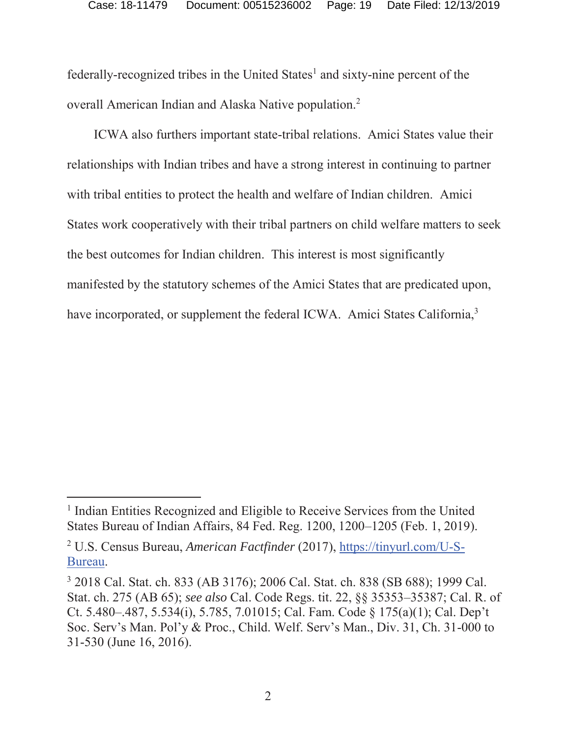federally-recognized tribes in the United States<sup>1</sup> and sixty-nine percent of the overall American Indian and Alaska Native population.<sup>2</sup>

ICWA also furthers important state-tribal relations. Amici States value their relationships with Indian tribes and have a strong interest in continuing to partner with tribal entities to protect the health and welfare of Indian children. Amici States work cooperatively with their tribal partners on child welfare matters to seek the best outcomes for Indian children. This interest is most significantly manifested by the statutory schemes of the Amici States that are predicated upon, have incorporated, or supplement the federal ICWA. Amici States California,<sup>3</sup>

<sup>&</sup>lt;sup>1</sup> Indian Entities Recognized and Eligible to Receive Services from the United States Bureau of Indian Affairs, 84 Fed. Reg. 1200, 1200–1205 (Feb. 1, 2019).

<sup>2</sup> U.S. Census Bureau, *American Factfinder* (2017), https://tinyurl.com/U-S-Bureau.

<sup>3</sup> 2018 Cal. Stat. ch. 833 (AB 3176); 2006 Cal. Stat. ch. 838 (SB 688); 1999 Cal. Stat. ch. 275 (AB 65); *see also* Cal. Code Regs. tit. 22, §§ 35353–35387; Cal. R. of Ct. 5.480–.487, 5.534(i), 5.785, 7.01015; Cal. Fam. Code § 175(a)(1); Cal. Dep't Soc. Serv's Man. Pol'y & Proc., Child. Welf. Serv's Man., Div. 31, Ch. 31-000 to 31-530 (June 16, 2016).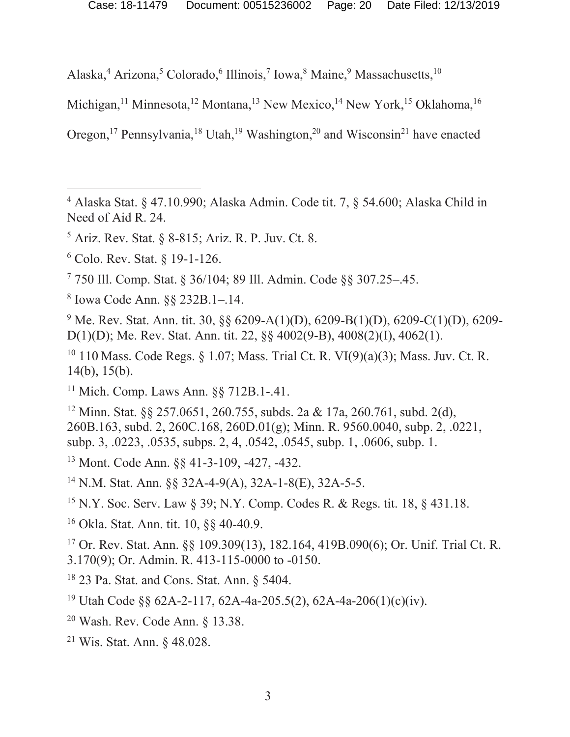Alaska,<sup>4</sup> Arizona,<sup>5</sup> Colorado,<sup>6</sup> Illinois,<sup>7</sup> Iowa,<sup>8</sup> Maine,<sup>9</sup> Massachusetts,<sup>10</sup>

Michigan,<sup>11</sup> Minnesota,<sup>12</sup> Montana,<sup>13</sup> New Mexico,<sup>14</sup> New York,<sup>15</sup> Oklahoma,<sup>16</sup>

Oregon,<sup>17</sup> Pennsylvania,<sup>18</sup> Utah,<sup>19</sup> Washington,<sup>20</sup> and Wisconsin<sup>21</sup> have enacted

 $\overline{a}$ 

8 Iowa Code Ann. §§ 232B.1–.14.

<sup>9</sup> Me. Rev. Stat. Ann. tit. 30, §§ 6209-A(1)(D), 6209-B(1)(D), 6209-C(1)(D), 6209-D(1)(D); Me. Rev. Stat. Ann. tit. 22, §§ 4002(9-B), 4008(2)(I), 4062(1).

<sup>10</sup> 110 Mass. Code Regs. § 1.07; Mass. Trial Ct. R. VI(9)(a)(3); Mass. Juv. Ct. R. 14(b), 15(b).

11 Mich. Comp. Laws Ann. §§ 712B.1-.41.

12 Minn. Stat. §§ 257.0651, 260.755, subds. 2a & 17a, 260.761, subd. 2(d), 260B.163, subd. 2, 260C.168, 260D.01(g); Minn. R. 9560.0040, subp. 2, .0221, subp. 3, .0223, .0535, subps. 2, 4, .0542, .0545, subp. 1, .0606, subp. 1.

13 Mont. Code Ann. §§ 41-3-109, -427, -432.

14 N.M. Stat. Ann. §§ 32A-4-9(A), 32A-1-8(E), 32A-5-5.

15 N.Y. Soc. Serv. Law § 39; N.Y. Comp. Codes R. & Regs. tit. 18, § 431.18.

16 Okla. Stat. Ann. tit. 10, §§ 40-40.9.

17 Or. Rev. Stat. Ann. §§ 109.309(13), 182.164, 419B.090(6); Or. Unif. Trial Ct. R. 3.170(9); Or. Admin. R. 413-115-0000 to -0150.

18 23 Pa. Stat. and Cons. Stat. Ann. § 5404.

19 Utah Code §§ 62A-2-117, 62A-4a-205.5(2), 62A-4a-206(1)(c)(iv).

- 20 Wash. Rev. Code Ann. § 13.38.
- 21 Wis. Stat. Ann. § 48.028.

 $4$  Alaska Stat. § 47.10.990; Alaska Admin. Code tit. 7, § 54.600; Alaska Child in Need of Aid R. 24.

 $<sup>5</sup>$  Ariz. Rev. Stat. § 8-815; Ariz. R. P. Juv. Ct. 8.</sup>

<sup>6</sup> Colo. Rev. Stat. § 19-1-126.

<sup>7</sup> 750 Ill. Comp. Stat. § 36/104; 89 Ill. Admin. Code §§ 307.25–.45.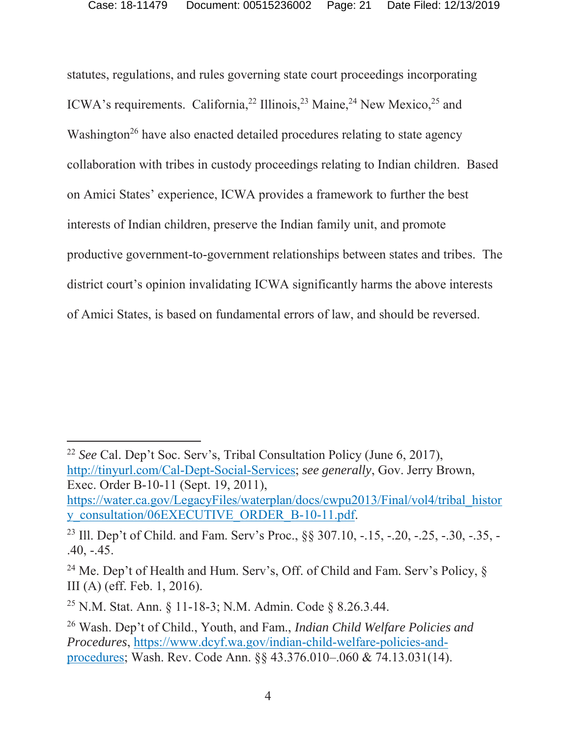statutes, regulations, and rules governing state court proceedings incorporating ICWA's requirements. California,<sup>22</sup> Illinois,<sup>23</sup> Maine,<sup>24</sup> New Mexico,<sup>25</sup> and Washington<sup>26</sup> have also enacted detailed procedures relating to state agency collaboration with tribes in custody proceedings relating to Indian children. Based on Amici States' experience, ICWA provides a framework to further the best interests of Indian children, preserve the Indian family unit, and promote productive government-to-government relationships between states and tribes. The district court's opinion invalidating ICWA significantly harms the above interests of Amici States, is based on fundamental errors of law, and should be reversed.

<sup>22</sup> *See* Cal. Dep't Soc. Serv's, Tribal Consultation Policy (June 6, 2017), http://tinyurl.com/Cal-Dept-Social-Services; *see generally*, Gov. Jerry Brown, Exec. Order B-10-11 (Sept. 19, 2011), https://water.ca.gov/LegacyFiles/waterplan/docs/cwpu2013/Final/vol4/tribal\_histor

y\_consultation/06EXECUTIVE\_ORDER\_B-10-11.pdf.

<sup>&</sup>lt;sup>23</sup> Ill. Dep't of Child. and Fam. Serv's Proc., §§ 307.10, -.15, -.20, -.25, -.30, -.35, -.40, -.45.

<sup>&</sup>lt;sup>24</sup> Me. Dep't of Health and Hum. Serv's, Off. of Child and Fam. Serv's Policy,  $\S$ III (A) (eff. Feb. 1, 2016).

<sup>25</sup> N.M. Stat. Ann. § 11-18-3; N.M. Admin. Code § 8.26.3.44.

<sup>26</sup> Wash. Dep't of Child., Youth, and Fam., *Indian Child Welfare Policies and Procedures*, https://www.dcyf.wa.gov/indian-child-welfare-policies-andprocedures; Wash. Rev. Code Ann. §§ 43.376.010–.060 & 74.13.031(14).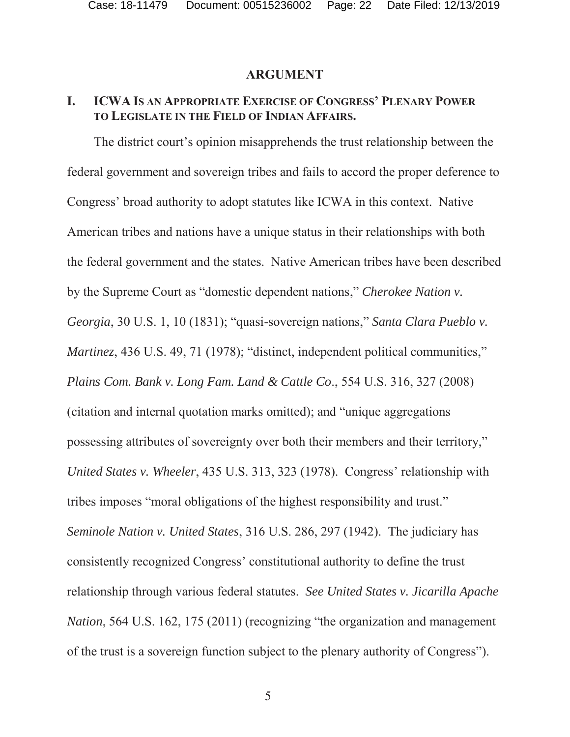#### **ARGUMENT**

### **I. ICWA IS AN APPROPRIATE EXERCISE OF CONGRESS' PLENARY POWER TO LEGISLATE IN THE FIELD OF INDIAN AFFAIRS.**

The district court's opinion misapprehends the trust relationship between the federal government and sovereign tribes and fails to accord the proper deference to Congress' broad authority to adopt statutes like ICWA in this context. Native American tribes and nations have a unique status in their relationships with both the federal government and the states. Native American tribes have been described by the Supreme Court as "domestic dependent nations," *Cherokee Nation v. Georgia*, 30 U.S. 1, 10 (1831); "quasi-sovereign nations," *Santa Clara Pueblo v. Martinez*, 436 U.S. 49, 71 (1978); "distinct, independent political communities," *Plains Com. Bank v. Long Fam. Land & Cattle Co*., 554 U.S. 316, 327 (2008) (citation and internal quotation marks omitted); and "unique aggregations possessing attributes of sovereignty over both their members and their territory," *United States v. Wheeler*, 435 U.S. 313, 323 (1978). Congress' relationship with tribes imposes "moral obligations of the highest responsibility and trust." *Seminole Nation v. United States*, 316 U.S. 286, 297 (1942). The judiciary has consistently recognized Congress' constitutional authority to define the trust relationship through various federal statutes. *See United States v. Jicarilla Apache Nation*, 564 U.S. 162, 175 (2011) (recognizing "the organization and management of the trust is a sovereign function subject to the plenary authority of Congress").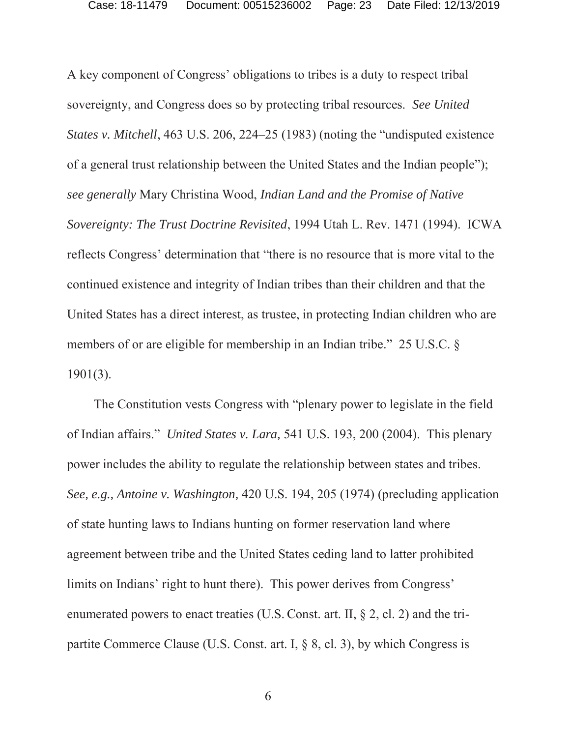A key component of Congress' obligations to tribes is a duty to respect tribal sovereignty, and Congress does so by protecting tribal resources. *See United States v. Mitchell*, 463 U.S. 206, 224–25 (1983) (noting the "undisputed existence of a general trust relationship between the United States and the Indian people"); *see generally* Mary Christina Wood, *Indian Land and the Promise of Native Sovereignty: The Trust Doctrine Revisited*, 1994 Utah L. Rev. 1471 (1994). ICWA reflects Congress' determination that "there is no resource that is more vital to the continued existence and integrity of Indian tribes than their children and that the United States has a direct interest, as trustee, in protecting Indian children who are members of or are eligible for membership in an Indian tribe." 25 U.S.C. § 1901(3).

The Constitution vests Congress with "plenary power to legislate in the field of Indian affairs." *United States v. Lara,* 541 U.S. 193, 200 (2004). This plenary power includes the ability to regulate the relationship between states and tribes. *See, e.g., Antoine v. Washington,* 420 U.S. 194, 205 (1974) (precluding application of state hunting laws to Indians hunting on former reservation land where agreement between tribe and the United States ceding land to latter prohibited limits on Indians' right to hunt there). This power derives from Congress' enumerated powers to enact treaties (U.S. Const. art. II, § 2, cl. 2) and the tripartite Commerce Clause (U.S. Const. art. I, § 8, cl. 3), by which Congress is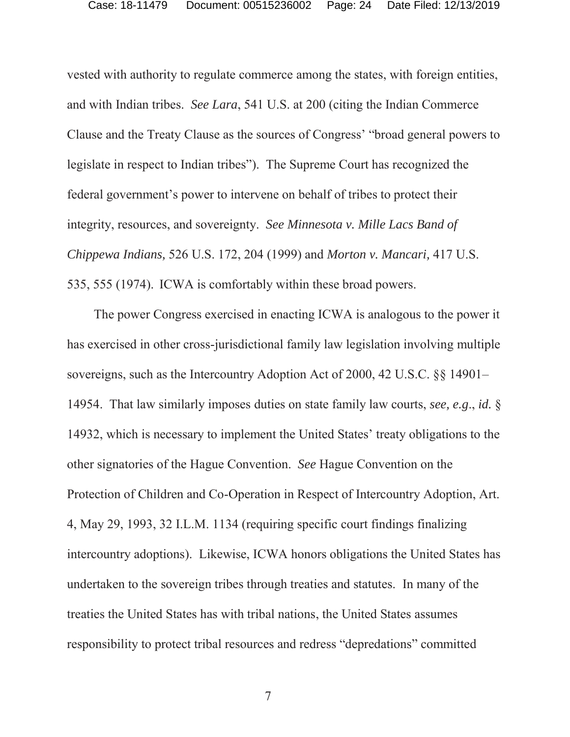vested with authority to regulate commerce among the states, with foreign entities, and with Indian tribes. *See Lara*, 541 U.S. at 200 (citing the Indian Commerce Clause and the Treaty Clause as the sources of Congress' "broad general powers to legislate in respect to Indian tribes"). The Supreme Court has recognized the federal government's power to intervene on behalf of tribes to protect their integrity, resources, and sovereignty. *See Minnesota v. Mille Lacs Band of Chippewa Indians,* 526 U.S. 172, 204 (1999) and *Morton v. Mancari,* 417 U.S. 535, 555 (1974). ICWA is comfortably within these broad powers.

The power Congress exercised in enacting ICWA is analogous to the power it has exercised in other cross-jurisdictional family law legislation involving multiple sovereigns, such as the Intercountry Adoption Act of 2000, 42 U.S.C. §§ 14901– 14954. That law similarly imposes duties on state family law courts, *see, e.g*., *id.* § 14932, which is necessary to implement the United States' treaty obligations to the other signatories of the Hague Convention. *See* Hague Convention on the Protection of Children and Co-Operation in Respect of Intercountry Adoption, Art. 4, May 29, 1993, 32 I.L.M. 1134 (requiring specific court findings finalizing intercountry adoptions). Likewise, ICWA honors obligations the United States has undertaken to the sovereign tribes through treaties and statutes. In many of the treaties the United States has with tribal nations, the United States assumes responsibility to protect tribal resources and redress "depredations" committed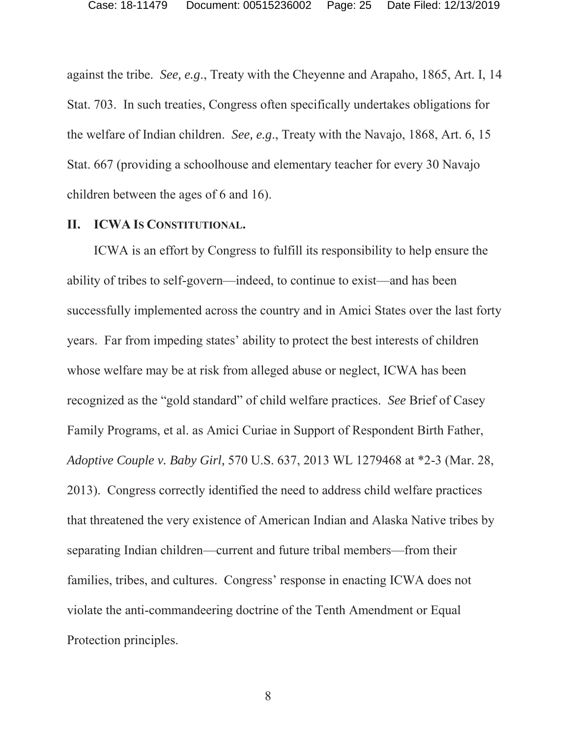against the tribe. *See, e.g*., Treaty with the Cheyenne and Arapaho, 1865, Art. I, 14 Stat. 703. In such treaties, Congress often specifically undertakes obligations for the welfare of Indian children. *See, e.g*., Treaty with the Navajo, 1868, Art. 6, 15 Stat. 667 (providing a schoolhouse and elementary teacher for every 30 Navajo children between the ages of 6 and 16).

#### **II. ICWA IS CONSTITUTIONAL.**

ICWA is an effort by Congress to fulfill its responsibility to help ensure the ability of tribes to self-govern—indeed, to continue to exist—and has been successfully implemented across the country and in Amici States over the last forty years. Far from impeding states' ability to protect the best interests of children whose welfare may be at risk from alleged abuse or neglect, ICWA has been recognized as the "gold standard" of child welfare practices. *See* Brief of Casey Family Programs, et al. as Amici Curiae in Support of Respondent Birth Father, *Adoptive Couple v. Baby Girl,* 570 U.S. 637, 2013 WL 1279468 at \*2-3 (Mar. 28, 2013). Congress correctly identified the need to address child welfare practices that threatened the very existence of American Indian and Alaska Native tribes by separating Indian children—current and future tribal members—from their families, tribes, and cultures. Congress' response in enacting ICWA does not violate the anti-commandeering doctrine of the Tenth Amendment or Equal Protection principles.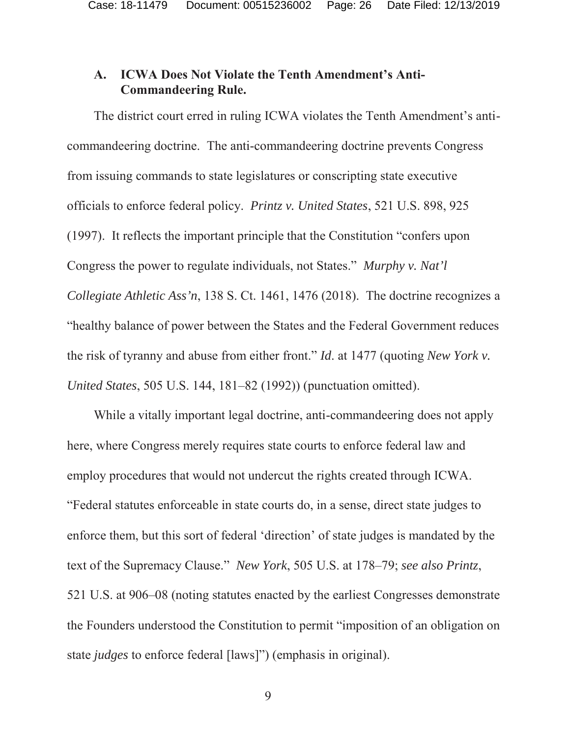#### **A. ICWA Does Not Violate the Tenth Amendment's Anti-Commandeering Rule.**

The district court erred in ruling ICWA violates the Tenth Amendment's anticommandeering doctrine. The anti-commandeering doctrine prevents Congress from issuing commands to state legislatures or conscripting state executive officials to enforce federal policy. *Printz v. United States*, 521 U.S. 898, 925 (1997). It reflects the important principle that the Constitution "confers upon Congress the power to regulate individuals, not States." *Murphy v. Nat'l Collegiate Athletic Ass'n*, 138 S. Ct. 1461, 1476 (2018). The doctrine recognizes a "healthy balance of power between the States and the Federal Government reduces the risk of tyranny and abuse from either front." *Id*. at 1477 (quoting *New York v. United States*, 505 U.S. 144, 181–82 (1992)) (punctuation omitted).

While a vitally important legal doctrine, anti-commandeering does not apply here, where Congress merely requires state courts to enforce federal law and employ procedures that would not undercut the rights created through ICWA. "Federal statutes enforceable in state courts do, in a sense, direct state judges to enforce them, but this sort of federal 'direction' of state judges is mandated by the text of the Supremacy Clause." *New York*, 505 U.S. at 178–79; *see also Printz*, 521 U.S. at 906–08 (noting statutes enacted by the earliest Congresses demonstrate the Founders understood the Constitution to permit "imposition of an obligation on state *judges* to enforce federal [laws]") (emphasis in original).

9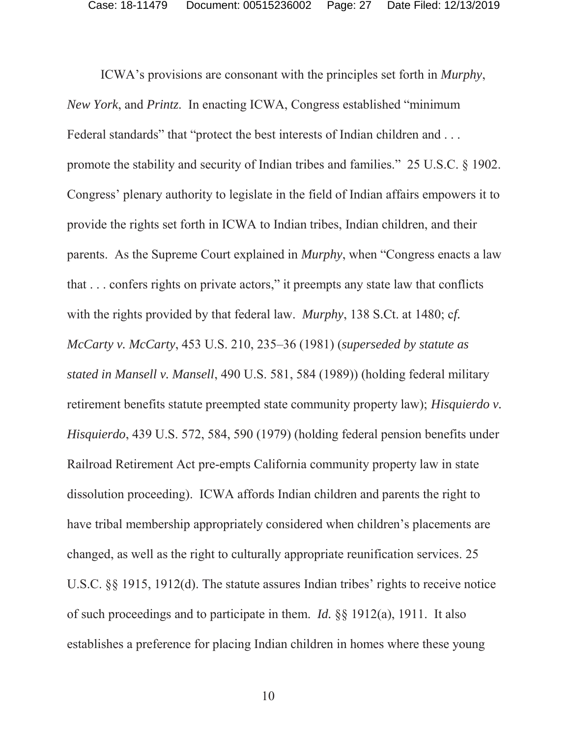ICWA's provisions are consonant with the principles set forth in *Murphy*, *New York*, and *Printz*. In enacting ICWA, Congress established "minimum Federal standards" that "protect the best interests of Indian children and . . . promote the stability and security of Indian tribes and families." 25 U.S.C. § 1902. Congress' plenary authority to legislate in the field of Indian affairs empowers it to provide the rights set forth in ICWA to Indian tribes, Indian children, and their parents. As the Supreme Court explained in *Murphy*, when "Congress enacts a law that . . . confers rights on private actors," it preempts any state law that conflicts with the rights provided by that federal law. *Murphy*, 138 S.Ct. at 1480; c*f. McCarty v. McCarty*, 453 U.S. 210, 235–36 (1981) (*superseded by statute as stated in Mansell v. Mansell*, 490 U.S. 581, 584 (1989)) (holding federal military retirement benefits statute preempted state community property law); *Hisquierdo v. Hisquierdo*, 439 U.S. 572, 584, 590 (1979) (holding federal pension benefits under Railroad Retirement Act pre-empts California community property law in state dissolution proceeding). ICWA affords Indian children and parents the right to have tribal membership appropriately considered when children's placements are changed, as well as the right to culturally appropriate reunification services. 25 U.S.C. §§ 1915, 1912(d). The statute assures Indian tribes' rights to receive notice of such proceedings and to participate in them. *Id.* §§ 1912(a), 1911. It also establishes a preference for placing Indian children in homes where these young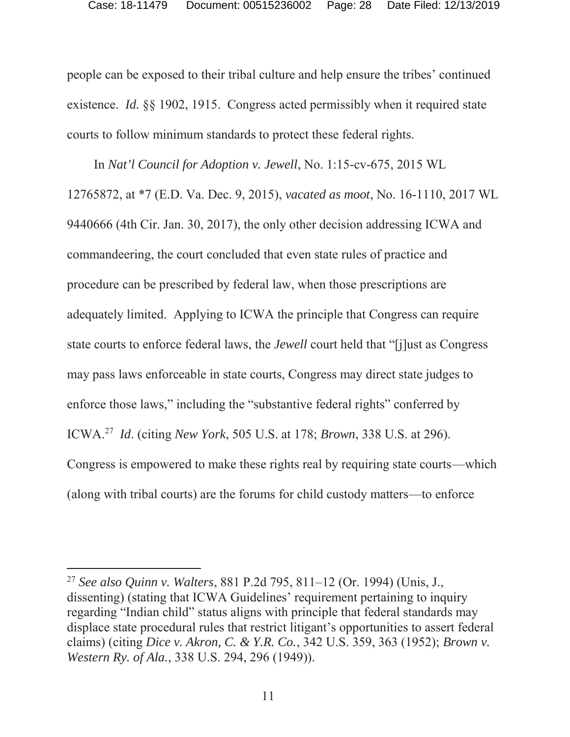people can be exposed to their tribal culture and help ensure the tribes' continued existence. *Id.* §§ 1902, 1915. Congress acted permissibly when it required state courts to follow minimum standards to protect these federal rights.

In *Nat'l Council for Adoption v. Jewell*, No. 1:15-cv-675, 2015 WL 12765872, at \*7 (E.D. Va. Dec. 9, 2015), *vacated as moot*, No. 16-1110, 2017 WL 9440666 (4th Cir. Jan. 30, 2017), the only other decision addressing ICWA and commandeering, the court concluded that even state rules of practice and procedure can be prescribed by federal law, when those prescriptions are adequately limited. Applying to ICWA the principle that Congress can require state courts to enforce federal laws, the *Jewell* court held that "[j]ust as Congress may pass laws enforceable in state courts, Congress may direct state judges to enforce those laws," including the "substantive federal rights" conferred by ICWA.27 *Id*. (citing *New York*, 505 U.S. at 178; *Brown*, 338 U.S. at 296). Congress is empowered to make these rights real by requiring state courts—which (along with tribal courts) are the forums for child custody matters—to enforce

<sup>27</sup> *See also Quinn v. Walters*, 881 P.2d 795, 811–12 (Or. 1994) (Unis, J., dissenting) (stating that ICWA Guidelines' requirement pertaining to inquiry regarding "Indian child" status aligns with principle that federal standards may displace state procedural rules that restrict litigant's opportunities to assert federal claims) (citing *Dice v. Akron, C. & Y.R. Co.*, 342 U.S. 359, 363 (1952); *Brown v. Western Ry. of Ala.*, 338 U.S. 294, 296 (1949)).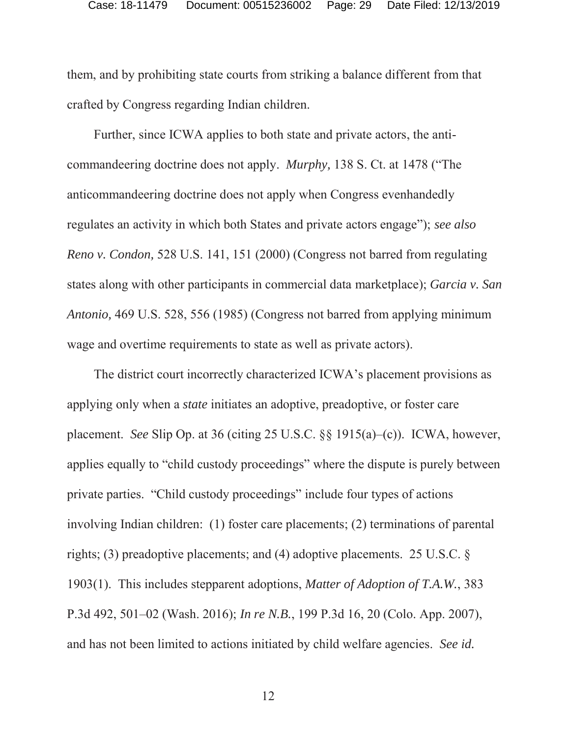them, and by prohibiting state courts from striking a balance different from that crafted by Congress regarding Indian children.

Further, since ICWA applies to both state and private actors, the anticommandeering doctrine does not apply. *Murphy,* 138 S. Ct. at 1478 ("The anticommandeering doctrine does not apply when Congress evenhandedly regulates an activity in which both States and private actors engage"); *see also Reno v. Condon,* 528 U.S. 141, 151 (2000) (Congress not barred from regulating states along with other participants in commercial data marketplace); *Garcia v. San Antonio,* 469 U.S. 528, 556 (1985) (Congress not barred from applying minimum wage and overtime requirements to state as well as private actors).

The district court incorrectly characterized ICWA's placement provisions as applying only when a *state* initiates an adoptive, preadoptive, or foster care placement. *See* Slip Op. at 36 (citing 25 U.S.C. §§ 1915(a)–(c)). ICWA, however, applies equally to "child custody proceedings" where the dispute is purely between private parties. "Child custody proceedings" include four types of actions involving Indian children: (1) foster care placements; (2) terminations of parental rights; (3) preadoptive placements; and (4) adoptive placements. 25 U.S.C. § 1903(1). This includes stepparent adoptions, *Matter of Adoption of T.A.W.*, 383 P.3d 492, 501–02 (Wash. 2016); *In re N.B.*, 199 P.3d 16, 20 (Colo. App. 2007), and has not been limited to actions initiated by child welfare agencies. *See id.*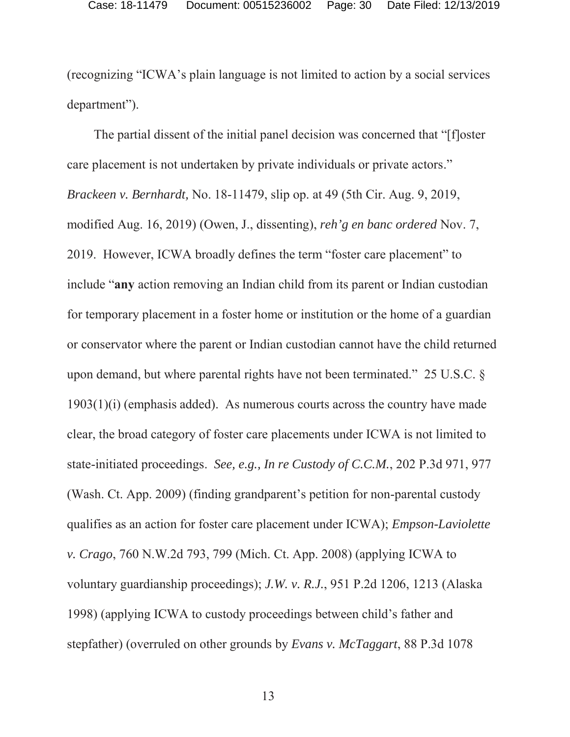(recognizing "ICWA's plain language is not limited to action by a social services department").

The partial dissent of the initial panel decision was concerned that "[f]oster care placement is not undertaken by private individuals or private actors." *Brackeen v. Bernhardt,* No. 18-11479, slip op. at 49 (5th Cir. Aug. 9, 2019, modified Aug. 16, 2019) (Owen, J., dissenting), *reh'g en banc ordered* Nov. 7, 2019. However, ICWA broadly defines the term "foster care placement" to include "**any** action removing an Indian child from its parent or Indian custodian for temporary placement in a foster home or institution or the home of a guardian or conservator where the parent or Indian custodian cannot have the child returned upon demand, but where parental rights have not been terminated." 25 U.S.C. § 1903(1)(i) (emphasis added). As numerous courts across the country have made clear, the broad category of foster care placements under ICWA is not limited to state-initiated proceedings. *See, e.g., In re Custody of C.C.M.*, 202 P.3d 971, 977 (Wash. Ct. App. 2009) (finding grandparent's petition for non-parental custody qualifies as an action for foster care placement under ICWA); *Empson-Laviolette v. Crago*, 760 N.W.2d 793, 799 (Mich. Ct. App. 2008) (applying ICWA to voluntary guardianship proceedings); *J.W. v. R.J.*, 951 P.2d 1206, 1213 (Alaska 1998) (applying ICWA to custody proceedings between child's father and stepfather) (overruled on other grounds by *Evans v. McTaggart*, 88 P.3d 1078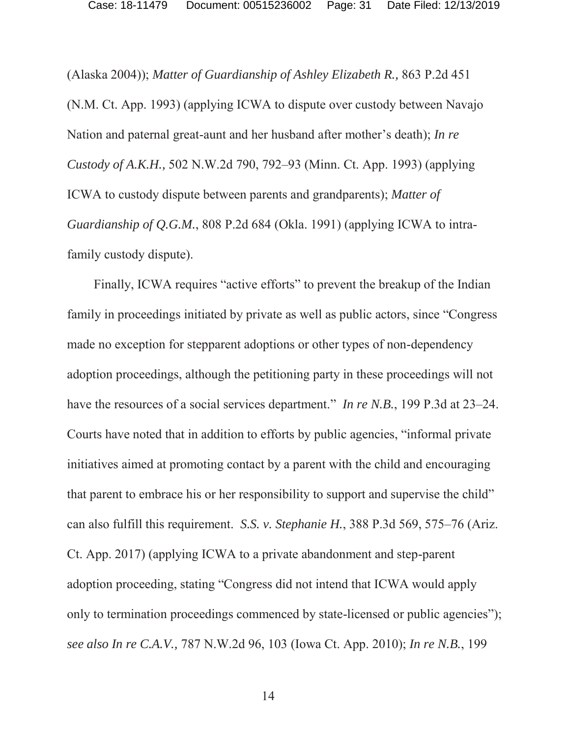(Alaska 2004)); *Matter of Guardianship of Ashley Elizabeth R.,* 863 P.2d 451 (N.M. Ct. App. 1993) (applying ICWA to dispute over custody between Navajo Nation and paternal great-aunt and her husband after mother's death); *In re Custody of A.K.H.,* 502 N.W.2d 790, 792–93 (Minn. Ct. App. 1993) (applying ICWA to custody dispute between parents and grandparents); *Matter of Guardianship of Q.G.M.*, 808 P.2d 684 (Okla. 1991) (applying ICWA to intrafamily custody dispute).

Finally, ICWA requires "active efforts" to prevent the breakup of the Indian family in proceedings initiated by private as well as public actors, since "Congress made no exception for stepparent adoptions or other types of non-dependency adoption proceedings, although the petitioning party in these proceedings will not have the resources of a social services department." *In re N.B.*, 199 P.3d at 23–24. Courts have noted that in addition to efforts by public agencies, "informal private initiatives aimed at promoting contact by a parent with the child and encouraging that parent to embrace his or her responsibility to support and supervise the child" can also fulfill this requirement. *S.S. v. Stephanie H.*, 388 P.3d 569, 575–76 (Ariz. Ct. App. 2017) (applying ICWA to a private abandonment and step-parent adoption proceeding, stating "Congress did not intend that ICWA would apply only to termination proceedings commenced by state-licensed or public agencies"); *see also In re C.A.V.,* 787 N.W.2d 96, 103 (Iowa Ct. App. 2010); *In re N.B.*, 199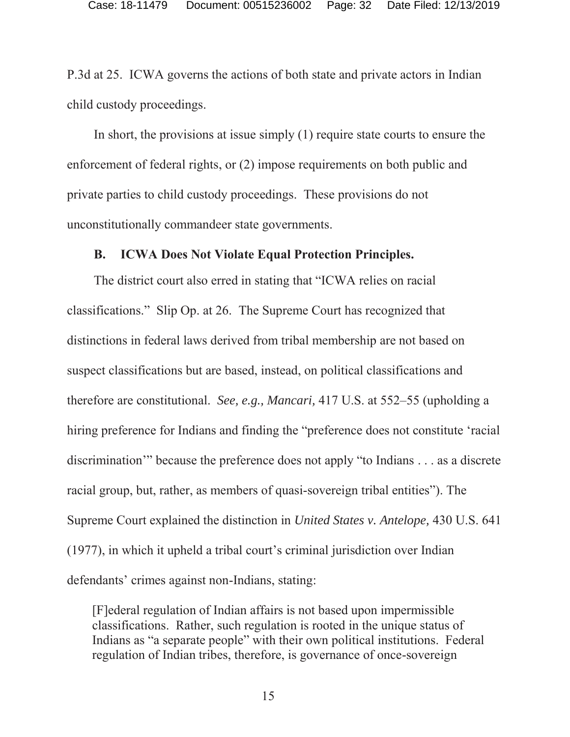P.3d at 25. ICWA governs the actions of both state and private actors in Indian child custody proceedings.

In short, the provisions at issue simply (1) require state courts to ensure the enforcement of federal rights, or (2) impose requirements on both public and private parties to child custody proceedings. These provisions do not unconstitutionally commandeer state governments.

### **B. ICWA Does Not Violate Equal Protection Principles.**

The district court also erred in stating that "ICWA relies on racial classifications." Slip Op. at 26. The Supreme Court has recognized that distinctions in federal laws derived from tribal membership are not based on suspect classifications but are based, instead, on political classifications and therefore are constitutional. *See, e.g., Mancari,* 417 U.S. at 552–55 (upholding a hiring preference for Indians and finding the "preference does not constitute 'racial discrimination'" because the preference does not apply "to Indians . . . as a discrete racial group, but, rather, as members of quasi-sovereign tribal entities"). The Supreme Court explained the distinction in *United States v. Antelope,* 430 U.S. 641 (1977), in which it upheld a tribal court's criminal jurisdiction over Indian defendants' crimes against non-Indians, stating:

[F]ederal regulation of Indian affairs is not based upon impermissible classifications. Rather, such regulation is rooted in the unique status of Indians as "a separate people" with their own political institutions. Federal regulation of Indian tribes, therefore, is governance of once-sovereign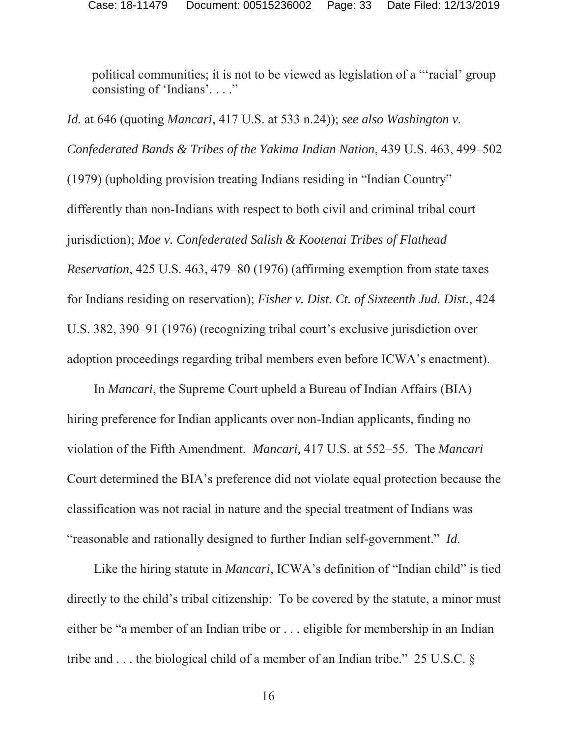political communities; it is not to be viewed as legislation of a "'racial' group consisting of 'Indians'. . . ."

*Id.* at 646 (quoting *Mancari*, 417 U.S. at 533 n.24)); *see also Washington v. Confederated Bands & Tribes of the Yakima Indian Nation*, 439 U.S. 463, 499–502 (1979) (upholding provision treating Indians residing in "Indian Country" differently than non-Indians with respect to both civil and criminal tribal court jurisdiction); *Moe v. Confederated Salish & Kootenai Tribes of Flathead Reservation*, 425 U.S. 463, 479–80 (1976) (affirming exemption from state taxes for Indians residing on reservation); *Fisher v. Dist. Ct. of Sixteenth Jud. Dist.*, 424 U.S. 382, 390–91 (1976) (recognizing tribal court's exclusive jurisdiction over adoption proceedings regarding tribal members even before ICWA's enactment).

In *Mancari*, the Supreme Court upheld a Bureau of Indian Affairs (BIA) hiring preference for Indian applicants over non-Indian applicants, finding no violation of the Fifth Amendment. *Mancari,* 417 U.S. at 552–55. The *Mancari* Court determined the BIA's preference did not violate equal protection because the classification was not racial in nature and the special treatment of Indians was "reasonable and rationally designed to further Indian self-government." *Id*.

Like the hiring statute in *Mancari*, ICWA's definition of "Indian child" is tied directly to the child's tribal citizenship: To be covered by the statute, a minor must either be "a member of an Indian tribe or . . . eligible for membership in an Indian tribe and . . . the biological child of a member of an Indian tribe." 25 U.S.C. §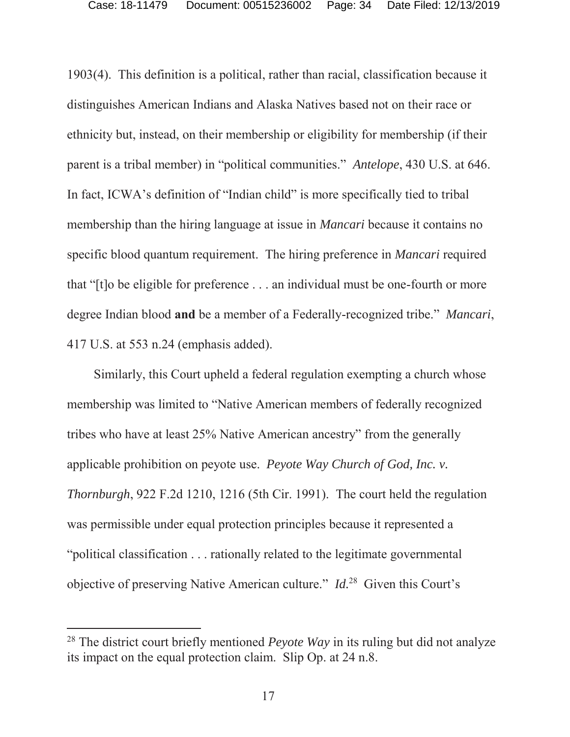1903(4). This definition is a political, rather than racial, classification because it distinguishes American Indians and Alaska Natives based not on their race or ethnicity but, instead, on their membership or eligibility for membership (if their parent is a tribal member) in "political communities." *Antelope*, 430 U.S. at 646. In fact, ICWA's definition of "Indian child" is more specifically tied to tribal membership than the hiring language at issue in *Mancari* because it contains no specific blood quantum requirement. The hiring preference in *Mancari* required that "[t]o be eligible for preference . . . an individual must be one-fourth or more degree Indian blood **and** be a member of a Federally-recognized tribe." *Mancari*, 417 U.S. at 553 n.24 (emphasis added).

Similarly, this Court upheld a federal regulation exempting a church whose membership was limited to "Native American members of federally recognized tribes who have at least 25% Native American ancestry" from the generally applicable prohibition on peyote use. *Peyote Way Church of God, Inc. v. Thornburgh*, 922 F.2d 1210, 1216 (5th Cir. 1991). The court held the regulation was permissible under equal protection principles because it represented a "political classification . . . rationally related to the legitimate governmental objective of preserving Native American culture." *Id.*<sup>28</sup>Given this Court's

<sup>28</sup> The district court briefly mentioned *Peyote Way* in its ruling but did not analyze its impact on the equal protection claim. Slip Op. at 24 n.8.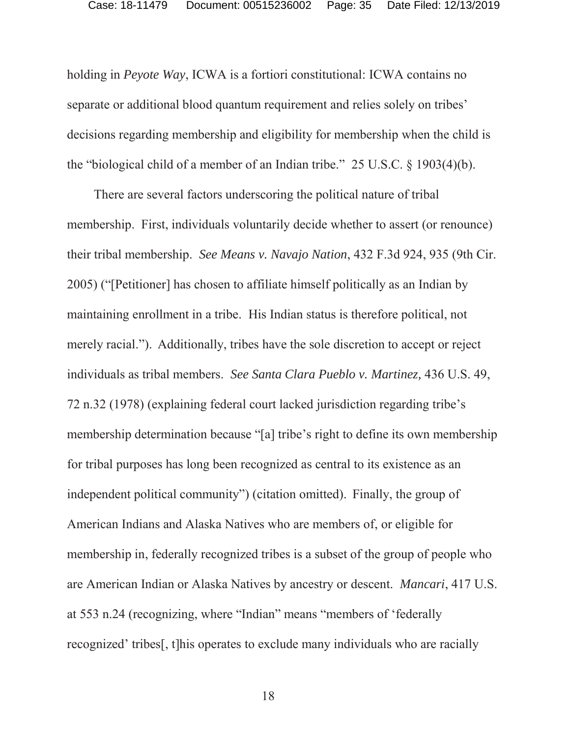holding in *Peyote Way*, ICWA is a fortiori constitutional: ICWA contains no separate or additional blood quantum requirement and relies solely on tribes' decisions regarding membership and eligibility for membership when the child is the "biological child of a member of an Indian tribe." 25 U.S.C.  $\S$  1903(4)(b).

There are several factors underscoring the political nature of tribal membership. First, individuals voluntarily decide whether to assert (or renounce) their tribal membership. *See Means v. Navajo Nation*, 432 F.3d 924, 935 (9th Cir. 2005) ("[Petitioner] has chosen to affiliate himself politically as an Indian by maintaining enrollment in a tribe. His Indian status is therefore political, not merely racial."). Additionally, tribes have the sole discretion to accept or reject individuals as tribal members. *See Santa Clara Pueblo v. Martinez,* 436 U.S. 49, 72 n.32 (1978) (explaining federal court lacked jurisdiction regarding tribe's membership determination because "[a] tribe's right to define its own membership for tribal purposes has long been recognized as central to its existence as an independent political community") (citation omitted). Finally, the group of American Indians and Alaska Natives who are members of, or eligible for membership in, federally recognized tribes is a subset of the group of people who are American Indian or Alaska Natives by ancestry or descent. *Mancari*, 417 U.S. at 553 n.24 (recognizing, where "Indian" means "members of 'federally recognized' tribes[, t]his operates to exclude many individuals who are racially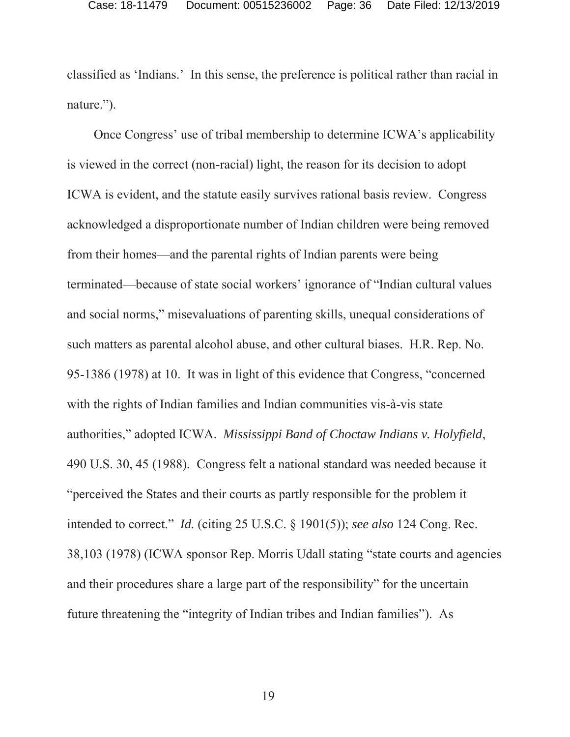classified as 'Indians.' In this sense, the preference is political rather than racial in nature.").

Once Congress' use of tribal membership to determine ICWA's applicability is viewed in the correct (non-racial) light, the reason for its decision to adopt ICWA is evident, and the statute easily survives rational basis review. Congress acknowledged a disproportionate number of Indian children were being removed from their homes—and the parental rights of Indian parents were being terminated—because of state social workers' ignorance of "Indian cultural values and social norms," misevaluations of parenting skills, unequal considerations of such matters as parental alcohol abuse, and other cultural biases. H.R. Rep. No. 95-1386 (1978) at 10. It was in light of this evidence that Congress, "concerned with the rights of Indian families and Indian communities vis-à-vis state authorities," adopted ICWA. *Mississippi Band of Choctaw Indians v. Holyfield*, 490 U.S. 30, 45 (1988)*.* Congress felt a national standard was needed because it "perceived the States and their courts as partly responsible for the problem it intended to correct." *Id.* (citing 25 U.S.C. § 1901(5)); *see also* 124 Cong. Rec. 38,103 (1978) (ICWA sponsor Rep. Morris Udall stating "state courts and agencies and their procedures share a large part of the responsibility" for the uncertain future threatening the "integrity of Indian tribes and Indian families"). As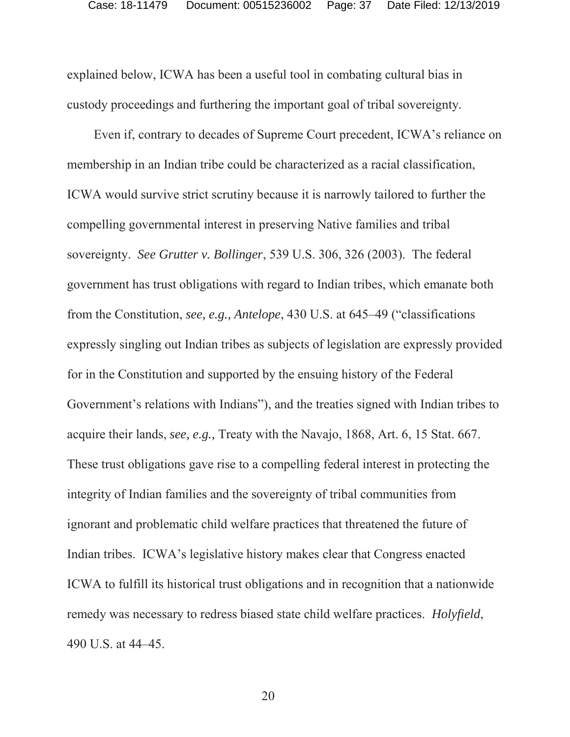explained below, ICWA has been a useful tool in combating cultural bias in custody proceedings and furthering the important goal of tribal sovereignty.

Even if, contrary to decades of Supreme Court precedent, ICWA's reliance on membership in an Indian tribe could be characterized as a racial classification, ICWA would survive strict scrutiny because it is narrowly tailored to further the compelling governmental interest in preserving Native families and tribal sovereignty. *See Grutter v. Bollinger*, 539 U.S. 306, 326 (2003). The federal government has trust obligations with regard to Indian tribes, which emanate both from the Constitution, *see, e.g., Antelope*, 430 U.S. at 645–49 ("classifications expressly singling out Indian tribes as subjects of legislation are expressly provided for in the Constitution and supported by the ensuing history of the Federal Government's relations with Indians"), and the treaties signed with Indian tribes to acquire their lands, *see, e.g.,* Treaty with the Navajo, 1868, Art. 6, 15 Stat. 667. These trust obligations gave rise to a compelling federal interest in protecting the integrity of Indian families and the sovereignty of tribal communities from ignorant and problematic child welfare practices that threatened the future of Indian tribes. ICWA's legislative history makes clear that Congress enacted ICWA to fulfill its historical trust obligations and in recognition that a nationwide remedy was necessary to redress biased state child welfare practices. *Holyfield*, 490 U.S. at 44–45.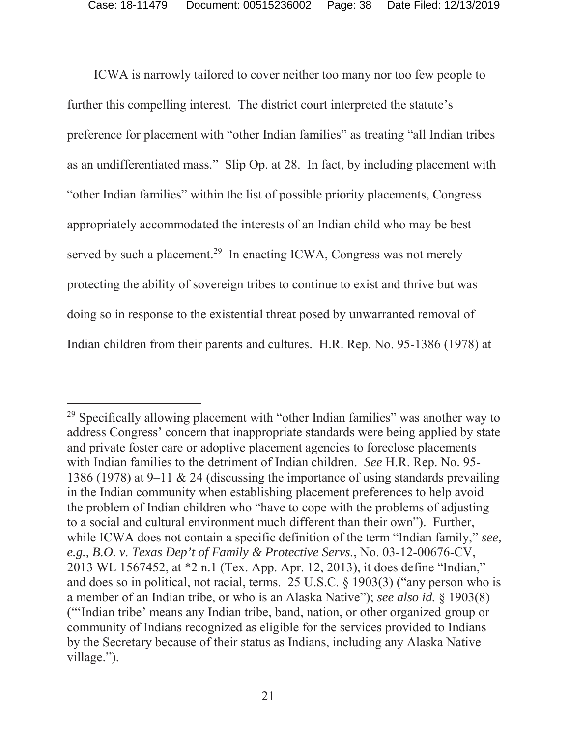ICWA is narrowly tailored to cover neither too many nor too few people to further this compelling interest. The district court interpreted the statute's preference for placement with "other Indian families" as treating "all Indian tribes as an undifferentiated mass." Slip Op. at 28. In fact, by including placement with "other Indian families" within the list of possible priority placements, Congress appropriately accommodated the interests of an Indian child who may be best served by such a placement.<sup>29</sup> In enacting ICWA, Congress was not merely protecting the ability of sovereign tribes to continue to exist and thrive but was doing so in response to the existential threat posed by unwarranted removal of Indian children from their parents and cultures. H.R. Rep. No. 95-1386 (1978) at

<sup>&</sup>lt;sup>29</sup> Specifically allowing placement with "other Indian families" was another way to address Congress' concern that inappropriate standards were being applied by state and private foster care or adoptive placement agencies to foreclose placements with Indian families to the detriment of Indian children. *See* H.R. Rep. No. 95- 1386 (1978) at 9–11 & 24 (discussing the importance of using standards prevailing in the Indian community when establishing placement preferences to help avoid the problem of Indian children who "have to cope with the problems of adjusting to a social and cultural environment much different than their own"). Further, while ICWA does not contain a specific definition of the term "Indian family," *see, e.g., B.O. v. Texas Dep't of Family & Protective Servs.*, No. 03-12-00676-CV, 2013 WL 1567452, at \*2 n.1 (Tex. App. Apr. 12, 2013), it does define "Indian," and does so in political, not racial, terms. 25 U.S.C. § 1903(3) ("any person who is a member of an Indian tribe, or who is an Alaska Native"); *see also id.* § 1903(8) ("'Indian tribe' means any Indian tribe, band, nation, or other organized group or community of Indians recognized as eligible for the services provided to Indians by the Secretary because of their status as Indians, including any Alaska Native village.").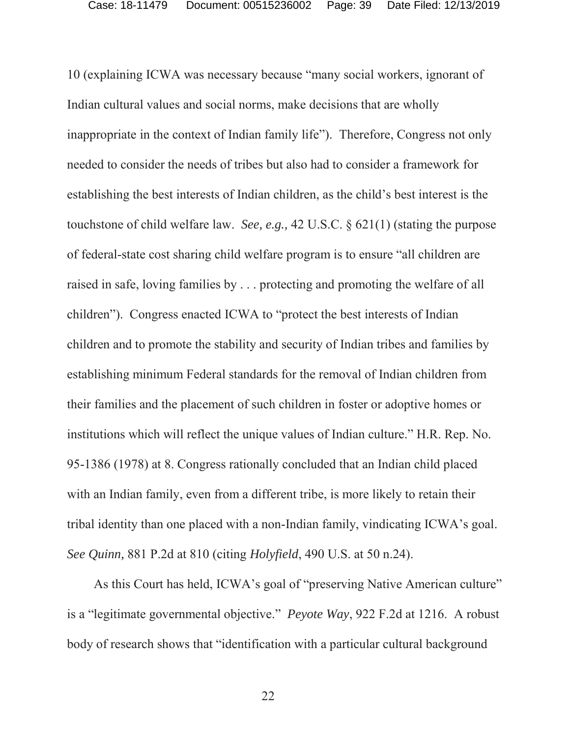10 (explaining ICWA was necessary because "many social workers, ignorant of Indian cultural values and social norms, make decisions that are wholly inappropriate in the context of Indian family life"). Therefore, Congress not only needed to consider the needs of tribes but also had to consider a framework for establishing the best interests of Indian children, as the child's best interest is the touchstone of child welfare law. *See, e.g.,* 42 U.S.C. § 621(1) (stating the purpose of federal-state cost sharing child welfare program is to ensure "all children are raised in safe, loving families by . . . protecting and promoting the welfare of all children"). Congress enacted ICWA to "protect the best interests of Indian children and to promote the stability and security of Indian tribes and families by establishing minimum Federal standards for the removal of Indian children from their families and the placement of such children in foster or adoptive homes or institutions which will reflect the unique values of Indian culture." H.R. Rep. No. 95-1386 (1978) at 8. Congress rationally concluded that an Indian child placed with an Indian family, even from a different tribe, is more likely to retain their tribal identity than one placed with a non-Indian family, vindicating ICWA's goal. *See Quinn,* 881 P.2d at 810 (citing *Holyfield*, 490 U.S. at 50 n.24).

As this Court has held, ICWA's goal of "preserving Native American culture" is a "legitimate governmental objective." *Peyote Way*, 922 F.2d at 1216. A robust body of research shows that "identification with a particular cultural background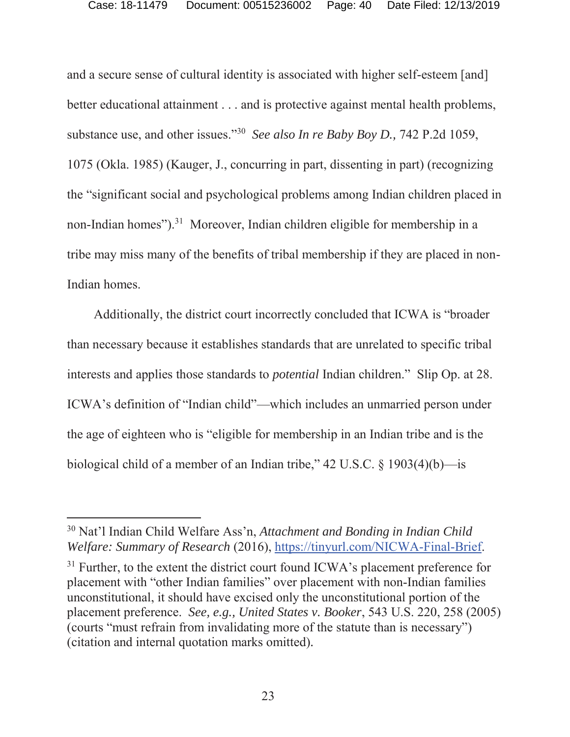and a secure sense of cultural identity is associated with higher self-esteem [and] better educational attainment . . . and is protective against mental health problems, substance use, and other issues."30 *See also In re Baby Boy D.,* 742 P.2d 1059, 1075 (Okla. 1985) (Kauger, J., concurring in part, dissenting in part) (recognizing the "significant social and psychological problems among Indian children placed in non-Indian homes").31 Moreover, Indian children eligible for membership in a tribe may miss many of the benefits of tribal membership if they are placed in non-Indian homes.

Additionally, the district court incorrectly concluded that ICWA is "broader than necessary because it establishes standards that are unrelated to specific tribal interests and applies those standards to *potential* Indian children." Slip Op. at 28. ICWA's definition of "Indian child"—which includes an unmarried person under the age of eighteen who is "eligible for membership in an Indian tribe and is the biological child of a member of an Indian tribe," 42 U.S.C. § 1903(4)(b)—is

<sup>30</sup> Nat'l Indian Child Welfare Ass'n, *Attachment and Bonding in Indian Child Welfare: Summary of Research* (2016), https://tinyurl.com/NICWA-Final-Brief.

 $31$  Further, to the extent the district court found ICWA's placement preference for placement with "other Indian families" over placement with non-Indian families unconstitutional, it should have excised only the unconstitutional portion of the placement preference. *See, e.g., United States v. Booker*, 543 U.S. 220, 258 (2005) (courts "must refrain from invalidating more of the statute than is necessary") (citation and internal quotation marks omitted)*.*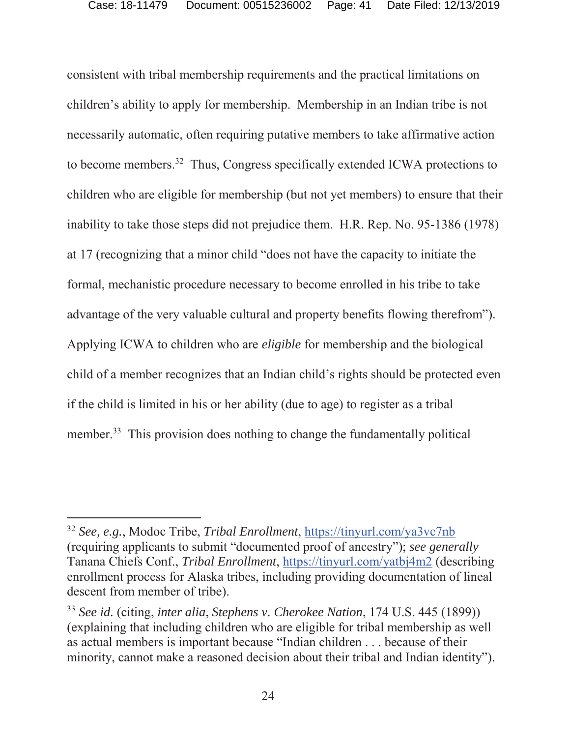consistent with tribal membership requirements and the practical limitations on children's ability to apply for membership. Membership in an Indian tribe is not necessarily automatic, often requiring putative members to take affirmative action to become members.32 Thus, Congress specifically extended ICWA protections to children who are eligible for membership (but not yet members) to ensure that their inability to take those steps did not prejudice them. H.R. Rep. No. 95-1386 (1978) at 17 (recognizing that a minor child "does not have the capacity to initiate the formal, mechanistic procedure necessary to become enrolled in his tribe to take advantage of the very valuable cultural and property benefits flowing therefrom"). Applying ICWA to children who are *eligible* for membership and the biological child of a member recognizes that an Indian child's rights should be protected even if the child is limited in his or her ability (due to age) to register as a tribal member.<sup>33</sup> This provision does nothing to change the fundamentally political

<sup>32</sup> *See, e.g.*, Modoc Tribe, *Tribal Enrollment*, https://tinyurl.com/ya3vc7nb (requiring applicants to submit "documented proof of ancestry"); *see generally* Tanana Chiefs Conf., *Tribal Enrollment*, https://tinyurl.com/yatbj4m2 (describing enrollment process for Alaska tribes, including providing documentation of lineal descent from member of tribe).

<sup>33</sup> *See id.* (citing, *inter alia*, *Stephens v. Cherokee Nation*, 174 U.S. 445 (1899)) (explaining that including children who are eligible for tribal membership as well as actual members is important because "Indian children . . . because of their minority, cannot make a reasoned decision about their tribal and Indian identity").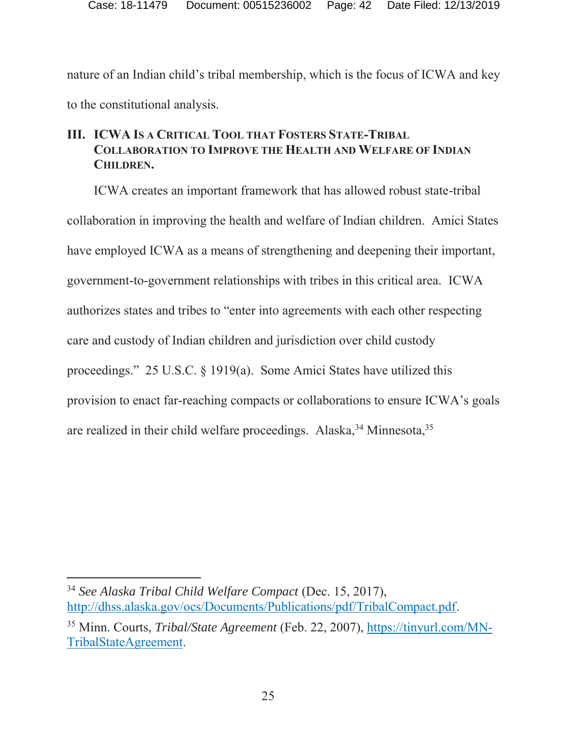nature of an Indian child's tribal membership, which is the focus of ICWA and key to the constitutional analysis.

### **III. ICWA IS A CRITICAL TOOL THAT FOSTERS STATE-TRIBAL COLLABORATION TO IMPROVE THE HEALTH AND WELFARE OF INDIAN CHILDREN.**

ICWA creates an important framework that has allowed robust state-tribal collaboration in improving the health and welfare of Indian children. Amici States have employed ICWA as a means of strengthening and deepening their important, government-to-government relationships with tribes in this critical area. ICWA authorizes states and tribes to "enter into agreements with each other respecting care and custody of Indian children and jurisdiction over child custody proceedings." 25 U.S.C. § 1919(a). Some Amici States have utilized this provision to enact far-reaching compacts or collaborations to ensure ICWA's goals are realized in their child welfare proceedings. Alaska,  $34$  Minnesota,  $35$ 

<sup>34</sup> *See Alaska Tribal Child Welfare Compact* (Dec. 15, 2017), http://dhss.alaska.gov/ocs/Documents/Publications/pdf/TribalCompact.pdf.

<sup>35</sup> Minn. Courts, *Tribal/State Agreement* (Feb. 22, 2007), https://tinyurl.com/MN-TribalStateAgreement.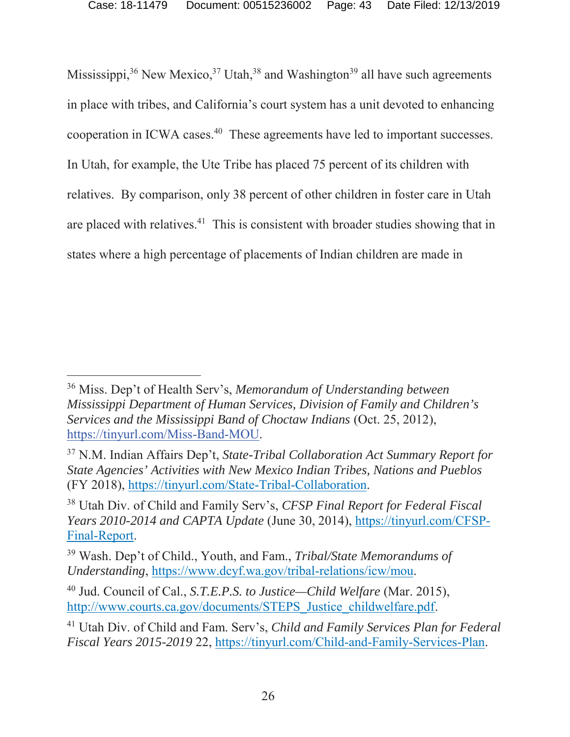Mississippi,<sup>36</sup> New Mexico,<sup>37</sup> Utah,<sup>38</sup> and Washington<sup>39</sup> all have such agreements in place with tribes, and California's court system has a unit devoted to enhancing cooperation in ICWA cases.40 These agreements have led to important successes. In Utah, for example, the Ute Tribe has placed 75 percent of its children with relatives. By comparison, only 38 percent of other children in foster care in Utah are placed with relatives.<sup>41</sup> This is consistent with broader studies showing that in states where a high percentage of placements of Indian children are made in

<sup>36</sup> Miss. Dep't of Health Serv's, *Memorandum of Understanding between Mississippi Department of Human Services, Division of Family and Children's Services and the Mississippi Band of Choctaw Indians* (Oct. 25, 2012), https://tinyurl.com/Miss-Band-MOU.

<sup>37</sup> N.M. Indian Affairs Dep't, *State-Tribal Collaboration Act Summary Report for State Agencies' Activities with New Mexico Indian Tribes, Nations and Pueblos* (FY 2018), https://tinyurl.com/State-Tribal-Collaboration.

<sup>38</sup> Utah Div. of Child and Family Serv's, *CFSP Final Report for Federal Fiscal Years 2010-2014 and CAPTA Update* (June 30, 2014), https://tinyurl.com/CFSP-Final-Report.

<sup>39</sup> Wash. Dep't of Child., Youth, and Fam., *Tribal/State Memorandums of Understanding*, https://www.dcyf.wa.gov/tribal-relations/icw/mou.

<sup>40</sup> Jud. Council of Cal., *S.T.E.P.S. to Justice—Child Welfare* (Mar. 2015), http://www.courts.ca.gov/documents/STEPS\_Justice\_childwelfare.pdf.

<sup>41</sup> Utah Div. of Child and Fam. Serv's, *Child and Family Services Plan for Federal Fiscal Years 2015-2019* 22, https://tinyurl.com/Child-and-Family-Services-Plan.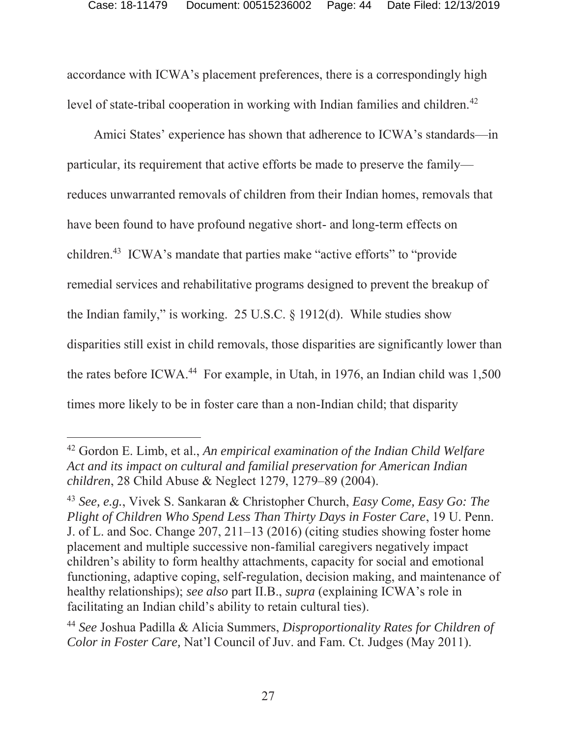accordance with ICWA's placement preferences, there is a correspondingly high level of state-tribal cooperation in working with Indian families and children.<sup>42</sup>

Amici States' experience has shown that adherence to ICWA's standards—in particular, its requirement that active efforts be made to preserve the family reduces unwarranted removals of children from their Indian homes, removals that have been found to have profound negative short- and long-term effects on children.43 ICWA's mandate that parties make "active efforts" to "provide remedial services and rehabilitative programs designed to prevent the breakup of the Indian family," is working. 25 U.S.C. § 1912(d). While studies show disparities still exist in child removals, those disparities are significantly lower than the rates before ICWA.<sup>44</sup> For example, in Utah, in 1976, an Indian child was  $1,500$ times more likely to be in foster care than a non-Indian child; that disparity

<sup>42</sup> Gordon E. Limb, et al., *An empirical examination of the Indian Child Welfare Act and its impact on cultural and familial preservation for American Indian children*, 28 Child Abuse & Neglect 1279, 1279–89 (2004).

<sup>43</sup> *See, e.g.*, Vivek S. Sankaran & Christopher Church, *Easy Come, Easy Go: The Plight of Children Who Spend Less Than Thirty Days in Foster Care*, 19 U. Penn. J. of L. and Soc. Change 207, 211–13 (2016) (citing studies showing foster home placement and multiple successive non-familial caregivers negatively impact children's ability to form healthy attachments, capacity for social and emotional functioning, adaptive coping, self-regulation, decision making, and maintenance of healthy relationships); *see also* part II.B., *supra* (explaining ICWA's role in facilitating an Indian child's ability to retain cultural ties).

<sup>44</sup> *See* Joshua Padilla & Alicia Summers, *Disproportionality Rates for Children of Color in Foster Care,* Nat'l Council of Juv. and Fam. Ct. Judges (May 2011).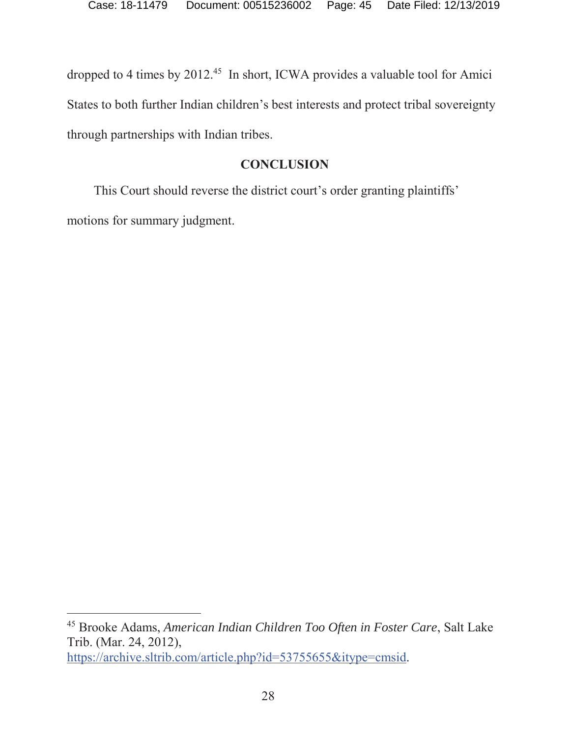dropped to 4 times by 2012.<sup>45</sup> In short, ICWA provides a valuable tool for Amici States to both further Indian children's best interests and protect tribal sovereignty through partnerships with Indian tribes.

#### **CONCLUSION**

This Court should reverse the district court's order granting plaintiffs' motions for summary judgment.

<sup>45</sup> Brooke Adams, *American Indian Children Too Often in Foster Care*, Salt Lake Trib. (Mar. 24, 2012), https://archive.sltrib.com/article.php?id=53755655&itype=cmsid.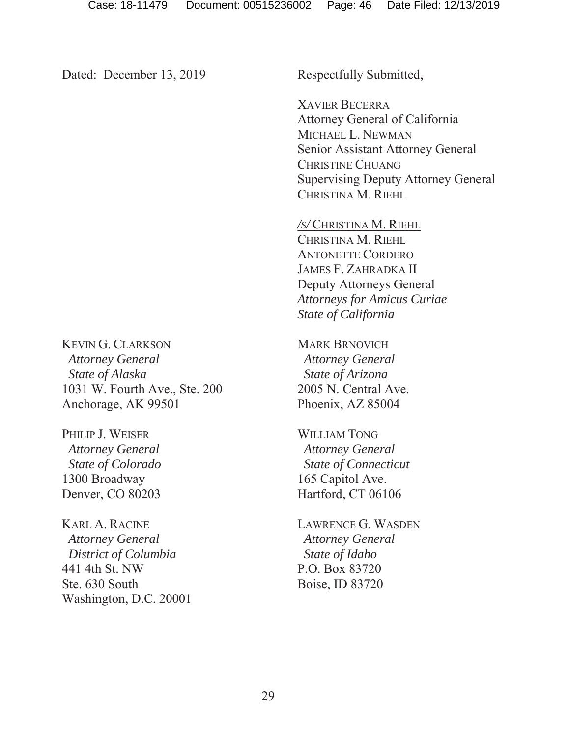Dated: December 13, 2019

Respectfully Submitted,

XAVIER BECERRA Attorney General of California MICHAEL L. NEWMAN Senior Assistant Attorney General CHRISTINE CHUANG Supervising Deputy Attorney General CHRISTINA M. RIEHL

*/S/* CHRISTINA M. RIEHL CHRISTINA M. RIEHL ANTONETTE CORDERO JAMES F. ZAHRADKA II Deputy Attorneys General *Attorneys for Amicus Curiae State of California* 

MARK BRNOVICH *Attorney General State of Arizona* 2005 N. Central Ave. Phoenix, AZ 85004

WILLIAM TONG  *Attorney General State of Connecticut* 165 Capitol Ave. Hartford, CT 06106

LAWRENCE G. WASDEN *Attorney General State of Idaho* P.O. Box 83720 Boise, ID 83720

KEVIN G. CLARKSON *Attorney General State of Alaska* 1031 W. Fourth Ave., Ste. 200 Anchorage, AK 99501

PHILIP J. WEISER  *Attorney General State of Colorado* 1300 Broadway Denver, CO 80203

KARL A. RACINE  *Attorney General District of Columbia* 441 4th St. NW Ste. 630 South Washington, D.C. 20001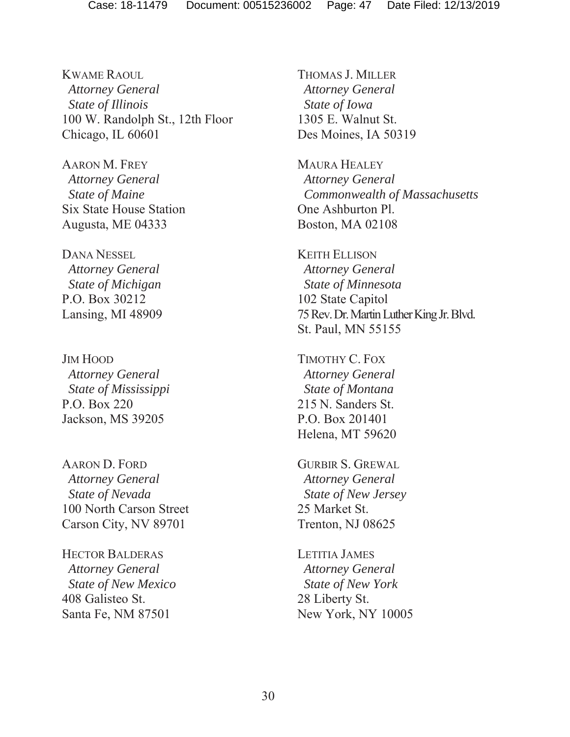KWAME RAOUL *Attorney General State of Illinois* 100 W. Randolph St., 12th Floor Chicago, IL 60601

AARON M. FREY *Attorney General State of Maine* Six State House Station Augusta, ME 04333

DANA NESSEL *Attorney General State of Michigan* P.O. Box 30212 Lansing, MI 48909

JIM HOOD *Attorney General State of Mississippi* P.O. Box 220 Jackson, MS 39205

AARON D. FORD  *Attorney General State of Nevada* 100 North Carson Street Carson City, NV 89701

HECTOR BALDERAS  *Attorney General State of New Mexico* 408 Galisteo St. Santa Fe, NM 87501

THOMAS J. MILLER *Attorney General State of Iowa* 1305 E. Walnut St. Des Moines, IA 50319

MAURA HEALEY *Attorney General Commonwealth of Massachusetts* One Ashburton Pl. Boston, MA 02108

KEITH ELLISON *Attorney General State of Minnesota* 102 State Capitol 75 Rev. Dr. Martin Luther King Jr. Blvd. St. Paul, MN 55155

TIMOTHY C. FOX  *Attorney General State of Montana* 215 N. Sanders St. P.O. Box 201401 Helena, MT 59620

GURBIR S. GREWAL  *Attorney General State of New Jersey* 25 Market St. Trenton, NJ 08625

LETITIA JAMES  *Attorney General State of New York* 28 Liberty St. New York, NY 10005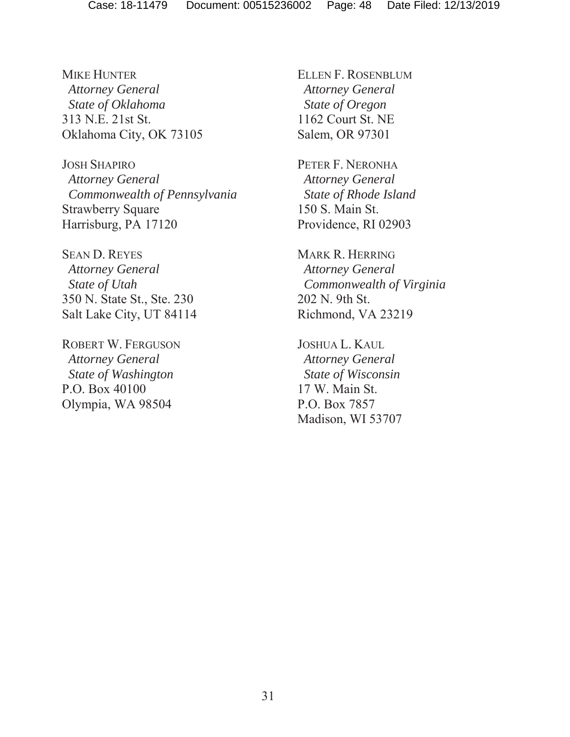MIKE HUNTER  *Attorney General State of Oklahoma* 313 N.E. 21st St. Oklahoma City, OK 73105

JOSH SHAPIRO  *Attorney General Commonwealth of Pennsylvania* Strawberry Square Harrisburg, PA 17120

SEAN D. REYES *Attorney General State of Utah* 350 N. State St., Ste. 230 Salt Lake City, UT 84114

ROBERT W. FERGUSON  *Attorney General State of Washington* P.O. Box 40100 Olympia, WA 98504

ELLEN F. ROSENBLUM  *Attorney General State of Oregon* 1162 Court St. NE Salem, OR 97301

PETER F. NERONHA *Attorney General State of Rhode Island* 150 S. Main St. Providence, RI 02903

MARK R. HERRING *Attorney General Commonwealth of Virginia* 202 N. 9th St. Richmond, VA 23219

JOSHUA L. KAUL  *Attorney General State of Wisconsin* 17 W. Main St. P.O. Box 7857 Madison, WI 53707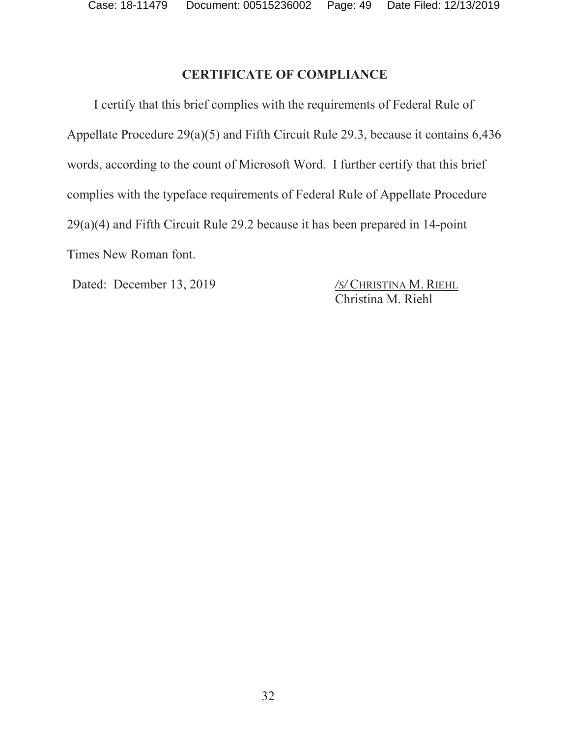### **CERTIFICATE OF COMPLIANCE**

I certify that this brief complies with the requirements of Federal Rule of Appellate Procedure 29(a)(5) and Fifth Circuit Rule 29.3, because it contains 6,436 words, according to the count of Microsoft Word. I further certify that this brief complies with the typeface requirements of Federal Rule of Appellate Procedure 29(a)(4) and Fifth Circuit Rule 29.2 because it has been prepared in 14-point Times New Roman font.

Dated: December 13, 2019 */S/* CHRISTINA M. RIEHL

Christina M. Riehl